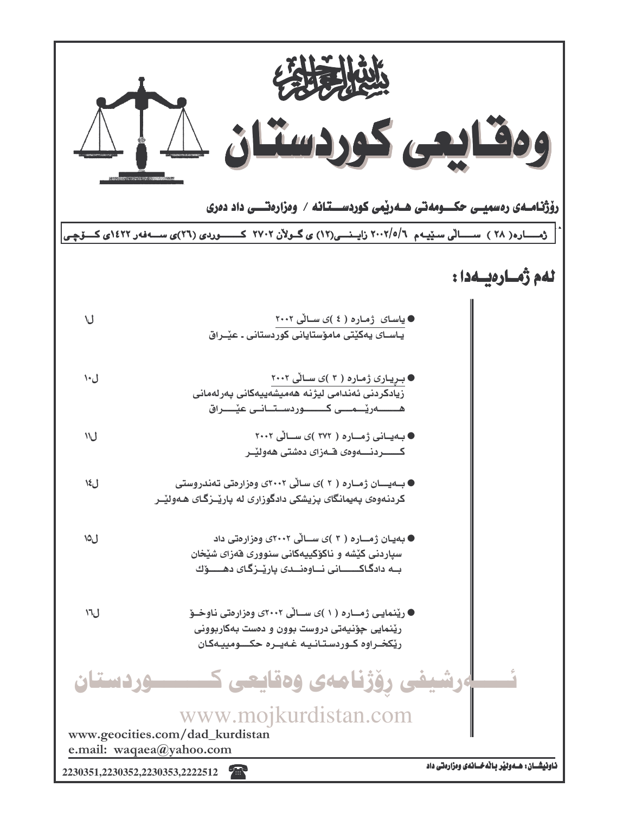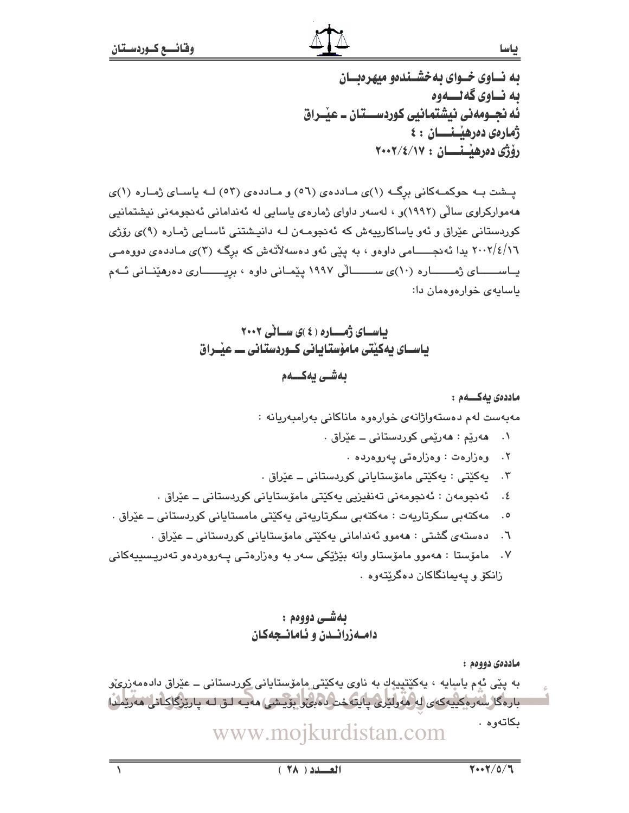به نساوی خسوای به خشسندهو میهرهنسان ىە نــاوي گەنــــەوە ئه نحــومەنى نيشتمانيى كوردســـتان ــ عيْــراق ژمارەى دەرھيىنسسان : ٤ رۆژى دەرھيىتىسان : ٢٠٠٢/٤/١٧

پشت به حوکمهکانی برگ (۱)ی ماددهی (٥٦) و ماددهی (٥٣) لـه پاسای ژماره (۱)ی ههموارکراوی سالّی (۱۹۹۲)و ، لهسهر داوای ژمارهی یاسایی له ئهندامانی ئهنجومهنی نیشتمانیی کوردستانی عێراق و ئەو ياساکارييەش کە ئەنجومـەن لـە دانيـشتنى ئاسـايى ژمـارە (٩)ى رۆژى ۲۰۰۲/٤/۱٦ يدا ئەنجــــــامى داوەو ، بە يێى ئەو دەسەلأتەش كە برگـه (٣)ى مـاددەى دووەمـى یساسسسسای ژمسسساره (۱۰)ی سسسسالی ۱۹۹۷ پیمانی داوه ، بریسسساری دهرهینسانی ئسهم باسایهی خوارهوهمان دا:

> باسای ژمساره (٤)ی سالی ۲۰۰۲ یاســای یهکینتی مامۆستـایـانی کــوردستـانی ـــ عیـْــراق بەشى يەكـــەم

> > ماددەى ئەكسىم :

مەبەست لەم دەستەواژانەي خوارەوە ماناكانى بەرامبەريانە :

- ۰۱ هەريم : ھەرپمى كوردستانى ــ عيراق .
	- ٢. وەزارەت : وەزارەتى يەروەردە .
- ۰۳ يه کێتي : په کێتي مامۆستاياني کوردستاني ــ عێراق .
- ٤. ئەنجومەن : ئەنجومەنى تەنفىزيى يەكێتى مامۆستايانى كوردستانى ــ عێراق .
- مەكتەبى سكرتاريەت : مەكتەبى سكرتاريەتى بەكێتى مامستايانى كوردستانى ــ عێراق .  $\cdot$ .0
	- ٦. دەستەي گشتى : ھەمور ئەندامانى يەكێتى مامۆستايانى كوردستانى ــ عێراق .
- مامۆستا : ھەمور مامۆستار رانە بێژێکی سەر بە رەزارەتـی پـەررەردەر تەدريـسىيەكانى  $\cdot$  .  $\vee$ زانکۆ و پەيمانگاكان دەگرێتەوە ٠

## بهشي دووهم : دامهزرانسدن و ئامانىجەكان

ماددەي دووەم :

به يێی ئەم ياسايە ، يەكێتپيەكِ بە ناوی يەكێتی ماِمۆستايانی <u>كور</u>دستانی ــ عێراق دادەمەزر*ى*ۆو بارەگا سەرەكىيەكەي لەڭمولترى ياپتەخت بەين بۆيشى) مەيبە لىق لـە يارتىگاكانا، مەريلىدا بكاتەوە . www.mojkurdistan.com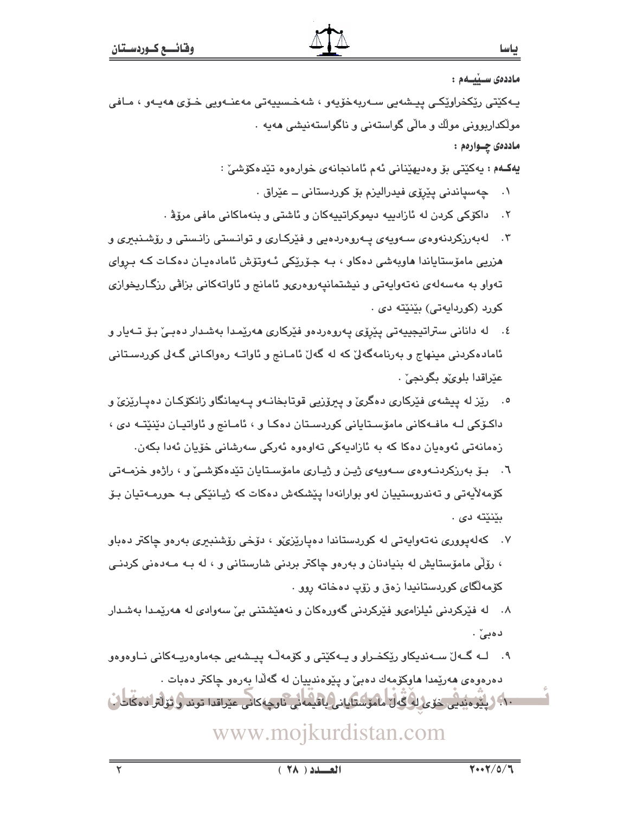ماددەى سىيىلەم :

يـهکێتي رێکخراوێکي پيـشهيي سـهريهخۆيهو ، شهخـسييهتي مهعنـهويي خـۆي هەيـهو ، مـافي مولکداربوونی مولك و مالّی گواستەنی و ناگواستەنىشى ھەبە ٠ ماددەى چـوارەم :

يەكــهم : يەكێتى بۆ وەديهێنانى ئەم ئامانجانەي خوارەوە تێدەكۆشىٚ :

- ۰۱ \_ چەسپاندنى يێرۆى فيدراليزم بۆ كوردستانى ــ عێراق ٠
- داكۆكى كردن لە ئازادىيە دىموكراتىيەكان و ئاشتى و بنەماكانى مافى مرۆۋ .  $\cdot$   $\cdot$   $\cdot$
- ۳. له بهرزکردنهوهی سهویهی پهروهردهیی و فێرکاری و توانستی زانستی و رۆشـنبيری و هزریی مامۆستایاندا هاوبەشی دەکاو ، بـه جـۆرێکی ئـهوتۆش ئامادەپـان دەکـات کـه بـروای تەواو بە مەسەلەي نەتەواپەتى و نىشتمانىيەروەرىيو ئامانج و ئاواتەكانى بزاڤى رزگـاريخوازى کورد (کوردايەتى) بێنێته دى .
- ٤. له داناني ستراتيجييەتي يێرۆي پەروەردەو فێرکاري ھەرێمدا بەشدار دەبـێ بـۆ تـﻪيار و ئامادەكردنى مىنھاج و بەرنامەگەلىؒ كە لە گەلؒ ئامـانج و ئاواتـە رەواكـانى گـەلى كوردسـتانى عٽراقدا بلوئو بگونجيٰ .
- ۰. رێز له پیشهی فێرکاری دهگری و پیروزیی قوتابخانـهو پـهیمانگاو زانکوکـان دهیـارێزی و داکۆکی لـه مافـهکانی مامۆسـتايانی کوردسـتان دهکـا و ، ئامـانج و ئاواتيـان دێنێتـه دی ، زەمانەتى ئەوەيان دەكا كە بە ئازاديەكى تەاوەوە ئەركى سەرشانى خۆيان ئەدا بكەن.
- ٦. بـۆ بەرزكردنــەوەی ســەوپەی ژپـن و ژپـاری مامۆســتايان تێدەكۆشــێ و ، راژەو خزمــەتى کۆمەلايەتى و تەندروستييان لەو بوارانەدا يێشکەش دەکات کە ژيـانێکى بـە حورمـەتيان بـۆ بێنێته دی .
- ۰۷ کهلهپووری نهتهوایهتی له کوردستاندا دهپارێزیٚو ، دۆخی رۆشنبیری بهرهو چاکتر دهباو ، رۆڵی مامۆستایش له بنیادنان و بەرەو چاکتر بردنی شارستانی و ، له بـه مـەدەنی کردنـی کۆمەلگاى كوردستانيدا زەق و زۆپ دەخاتە روو .
- ۸. له فێرکردنی ئیلزامىو فێرکردنی گەورەکان و نەھێشتنی بیّ سەوادى لە ھەرێمدا بەشدار دهبے ٚ.
- ۹. لــه گــهلٌ ســهنديكاو رێِكخــراو و پــهکێتی و کۆمهڵـه پيــشهيی جهماوهريــهکانی نــاوهوهو دهرهوهی ههریمدا هاوکۆمەك دەبیؒ و پێوەندىيان له گەلّدا بەرەو چاکتر دەبات .

٦٠٠ ( پِيُوْهِ بَدِي حَوْي لِهِ گَهِلٌ مَامَوْسُتَابِانِي بِاقْيِمَهِ نِي نَاوِجِهِ كاني عيْراقدا توند و ثولتر دمكانات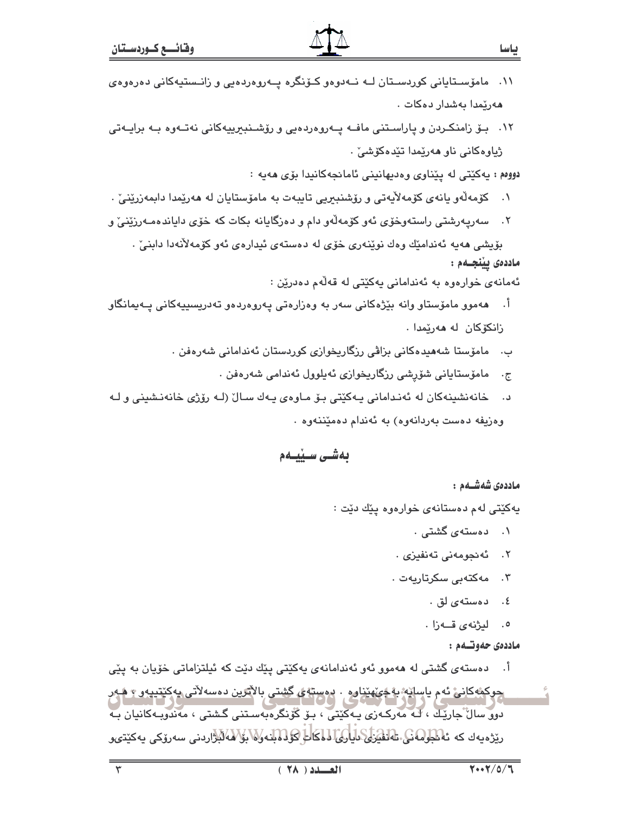۱۲. بــۆ زامنكـردن و پاراســتنى مافــه پــهروهردەيى و رۆشــنبيرپيهكانى نەتــهوه بــه برايــهتى ژياوەكانى ناو ھەرپمدا تێدەكۆشى .

دووم : پهکێتي له پێناوي وهديهانيني ئامانجهکانيدا بۆي هەپه :

- ۰۱ كۆمەلّەو يانەي كۆمەلاّيەتى و رۆشنىبىرىي تايبەت بە مامۆستايان لە ھەرێمدا دابمەزرێنىٚ .
- ۲. سەريەرشتى راستەوخۆى ئەو كۆمەلەو دام و دەزگايانە بكات كە خۆى داياندەمـەرزێنى و

بۆيشى ھەپە ئەندامێك وەك نوێنەرى خۆي لە دەستەي ئېدارەي ئەو كۆمەلأنەدا دابنىٕ . ماددەى ييْنجــەم :

ئەمانەي خوارەوە بە ئەندامانى يەكێتى لە قەلّەم دەدرێن :

- اً. ھەموو مامۆستاو وانە بێژەكانى سەر بە وەزارەتى پەروەردەو تەدرىسىييەكانى پـەيمانگاو زانکۆکان له مەرێمدا .
	- ب. مامۆستا شەھىدەكانى بزاقى رزگاريخوازى كوردستان ئەندامانى شەرەڧن .
		- ج. مامۆستايانى شۆرشى رزگارىخوازى ئەيلوول ئەندامى شەرەڧن .
- خانەنشىنەكان لە ئەندامانى پەكێتى بۆ مـاوەي پـەك سـالْ (لـە رۆژى خانەنـشىنى و لـە د . وەزيفە دەست بەردانەوە) بە ئەندام دەمێننەوە .

بەشى سىيبەم

ماددەى شەشــەم :

ياسا

پهکٽتي لهم دهستانهي خوارهوه پٽك دٽت :

- ۰۱ دهستهی گشتی ۰
- ۰۲ ئەنجومەنى تەنفيز*ى .*
- ۰۳ مهکتهبی سکرتاریهت.
	- ٤. دەستەي لق .
	- ٥. ليژنهي قــهزا .

ماددەى حەوتىەم :

أ. دەستەي گشتى لە ھەموو ئەو ئەندامانەي پەكێتى پێك دێت كە ئپلتزاماتى خۆپان بە پێى

جوکمهکاني ئه م ياسانه به *چې ه*ێناوه . دهسته *ي* گشتي بالأترين دهسهلاتي پهکٽتيپهو ۽ هـهر دوو سال جاريَك ، كه مەركـەزى پـەكێتى ، بـۆ گۆنگرەبەسـتنى گـشتى ، مەندوبـەكانيان بـە ریزەيەك كە ئەنگولمەنكى تەلقۇنى دايارى لىلكات كۆلەتلەر (ئۆزلەتلەردىنى سەرۆكى يەكتتىرو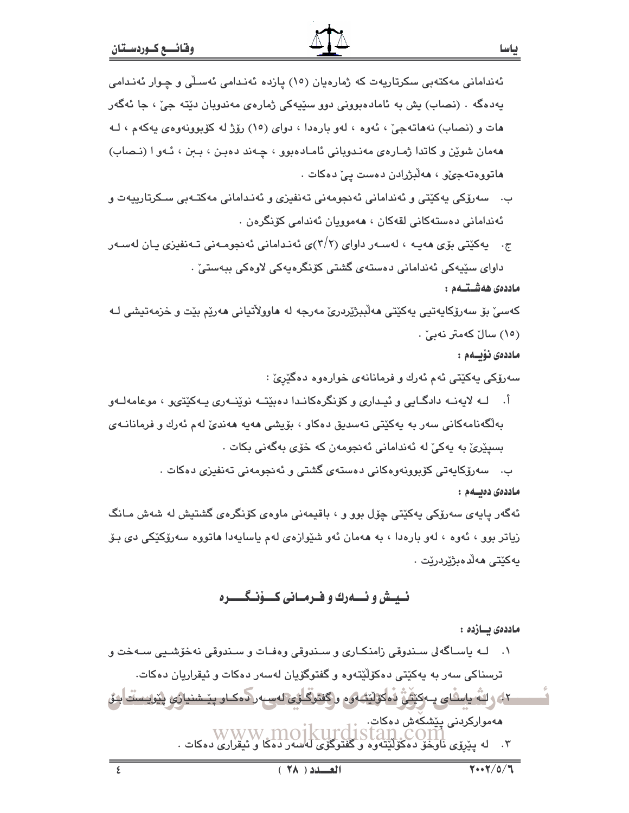- ب. \_ سەرۆكى پەكێتى و ئەندامانى ئەنجومەنى تەنفېزى و ئەنىدامانى مەكتـەبى سـكرتارىيەت و ئەندامانى دەستەكانى لقەكان ، ھەموريان ئەندامى كۆنگرەن .
- ج. پهکێتی بۆی هەپپه ، لەسپەر داوای (۳/۲)ی ئەنىدامانی ئەنجومپەنی تپەنفیزی پان لەسپەر داوای سٽيهکي ئەنداماني دەستەي گشتی کۆنگرەيەکی لاوەکی بېەستى .

### ماددەى ھەشـتــەم :

کەسىؒ بۆ سەرۆکاپەتيى پەکێتى مەلّبېژێردرێ مەرجە لە ماوولاٌتيانى مەرێم بێت و خزمەتپشى لـﻪ (١٥) سالٌ كەمتر نەبىؒ.

### ماددەى نۆيىلەم :

سەرۆكى يەكێتى ئەم ئەرك و فرمانانەي خوارەوە دەگێرێ :

ك لايەنــه دادگــايى و ئيــدارى و كۆنگرەكانــدا دەبێتــه نوێنــهرى يــهكێتىو ، موعامەلــهو  $\overline{\phantom{a}}$ بەلگەنامەكانى سەر بە پەكێتى تەسدىق دەكار ، بۆيشى ھەپە ھەندىّ لەم ئەرك و فرمانانـەي بسيێريٰ به پهکيٰ له ئهنداماني ئهنجومهن که خۆی بهگهني بکات .

> ب. سەرۆكاپەتى كۆبوونەوەكانى دەستەي گشتى و ئەنجومەنى تەنفىزى دەكات . ماددەى دەبسەم :

ئەگەر پايەي سەرۆكى يەكێتى چۆل بوو و ، باقيمەنى ماوەي كۆنگرەي گشتيش لە شەش مـانگ زیاتر بوو ، ئەوە ، لەو بارەدا ، بە ھەمان ئەو شێوازەي لەم ياسايەدا ھاتووە سەرۆكێكى دى بـۆ بەكٽتى ھەلدەپژتردرتت .

## ئىيىش وئىسەرك و فىرمىانى كىـۆنىگـــــرە

ماددەى بسازدە :

- ۰۱ ـــ لــه پاســاگه لى ســندوقى زامنكــارى و ســندوقى وەفــات و ســندوقى نهخۆشــيى ســهخت و ترسناکی سەر بە پەکێتی دەکۆلێتەوە و گفتوگۆپان لەسەر دەكات و ئیقراریان دەكات.
- <u>۲-) و الله یاسایی یـ وکیفیؒ اماکوانیه وه و کفتوکاؤی لهسیه را مک او پنے شنیاژی پیواییسنّت ایش</u> مەمواركردنى يێشكەش دەكات. moikurdi ٣. له يَيْرِوْي نَاوَخْوَ دَهَكْوْلَيْتّْقُوهُ و گُفْتُوگُوْيْ لَهُ سُوْرُ دَهْكًا وْ ئَيْقْرَارِيْ دەكات .

٤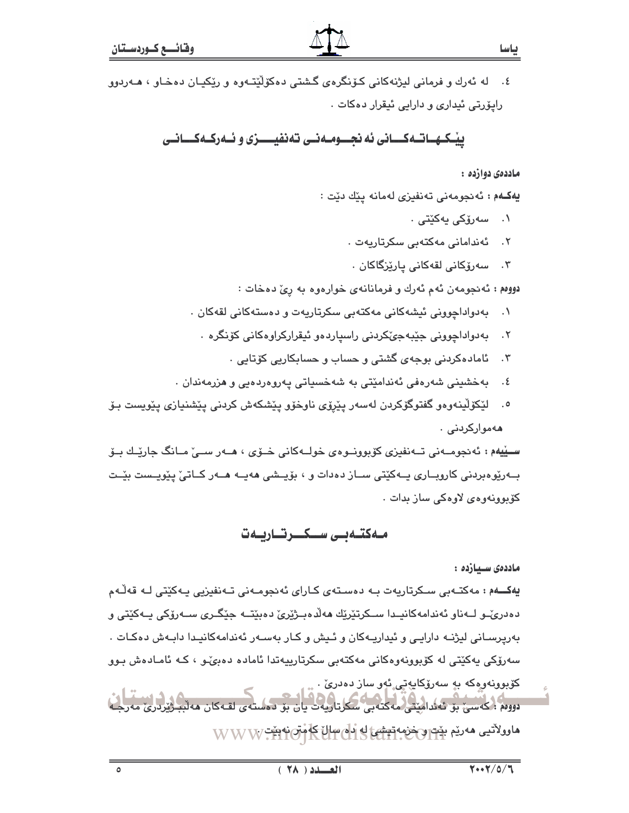٤. له ئەرك و فرمانى ليژنەكانى كۆنگرەي گشتى دەكۆلێتـەوە و رێكيـان دەخـاو ، ھـەردوو رايۆرتى ئىدارى و دارايى ئىقرار دەكات .

ييْكهـاتـهكــانى ئه نجــومـهنـى تهنفيـــزى و ئـهركـهكــانـى

ماددهۍ دوازده :

يەكــەم : ئەنجومەنى تەنفيزى لەمانە يێك دێت :

- ۰۱ سەرۆكى يەكٽتى .
- ئەندامانى مەكتەبى سكرتاريەت .  $\cdot$   $\cdot$   $\cdot$
- ۰۳ سەرۆكانى لقەكانى يارێزگاكان

دووهم: ئه نجومه ن ئهم ئهرك و فرمانانهى خوارهوه به رئ دهخات:

- بەدواداچوونى ئېشەكانى مەكتەبى سكرتاريەت و دەستەكانى لقەكان .  $\cdot$ 
	- بەدواداچوونى جێبەجىٚكردنى راسياردەو ئيقراركراوەكانى كۆنگرە ٠  $.7$ 
		- ئامادەكردنى بوجەي گشتى و حساب و حسابكاريى كۆتايى ٠  $\cdot$   $\mathsf{r}$
- بەخشىنى شەرەفى ئەندامێتى بە شەخسىاتى پەروەردەپى و ھزرمەندان .  $\cdot$  {
- لێػۆڵۑڶەوەو گفتوگۆكردن لەسەر يێرۆى ناوخۆو يێشكەش كردنى يێشنيازى يێويست بـۆ  $\cdot$ .0 ههمواركردنى .

ســێيهم : ئەنجومــەنى تــەنفيزى كۆبوونــوەی خولــەكانى خــۆی ، ھــەر ســے ٘مــانگ جارێــك بــۆ بــەرێوەبردنى كاروبــارى يــەكێتى ســاز دەدات و ، بۆيــشى ھەيــە ھــەر كــاتىٚ پێويــست بێــت كۆبوونەوەي لاوەكى ساز بدات .

## مەكتەبى سىكىرتاريەت

ماددەى سىيازدە :

يەكـــەم : مەكتــەبى ســكرتاريەت بــە دەسـتەي كـاراي ئەنجومــەنى تــەنفيزيى يــەكێتى لــە قەڵـەم دەدرى،ّـو لــەناو ئەندامەكانىيدا ســكرتێرێك ھەڵدەبــژێرێ دەبێتــە جێگـرى ســەرۆكى بــەكێتى و بەرپرسـانى ليژنــه دارايـى و ئيداريــهكان و ئــيش و كــار بەســەر ئەندامەكانيـدا دابــەش دەكـات . سەرۆكى پەكێتى لە كۆبوونەوەكانى مەكتەبى سكرتارىيەتدا ئامادە دەبىٌـو ، كـە ئامـادەش بـوو کۆبوونەوەكە بە سەرۆكايەتى ئەو ساز دەدرى .<br>ئ دووم : كەسى بۆ ئەئدامىتى مەكتەبى سكاناريەت يان بۆ دەستەي لقـەكان ھەلبىڭ ماوولاتیی مەریم بید و خزمه تیشی له دام سال که متن به میت W W W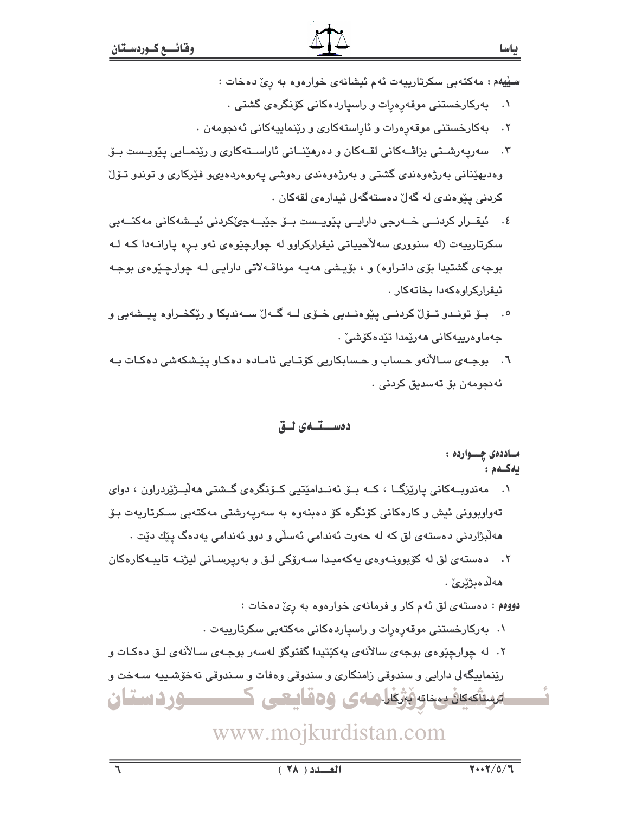- سيپيهم: مەكتەبى سكرتارىيەت ئەم ئىشانەي خوارەوە بە رى دەخات :
	- ۰۱ بهرکارخستنی موقهرِهرات و راسیاردهکانی کۆنگرەی گشتے، .
- ۰۲ بهکارخستنی موقهرهرات و ئاراستهکاری و رێنماییهکانی ئهنجومهن .
- ۰۳ سەريەرشىتى بزاشەكانى لقـﻪكان و دەرھێنــانى ئاراسـتەكارى و رێنمـايى يێويـست بـۆ وهدیهێنانی بەرژەوەندی گشتی و بەرژەوەندی رەوشى پەروەردەيىو فێرکاری و توندو تىۆل کردنی پێوهندی له گهلٚ دهستهگهلی ئیدارهی لقهکان .
- ٤. ئيقــرار كردنــي خــهرجي دارايــي پێويــست بــۆ جێبــهجێکردني ئيــشهکاني مهکتــهبي سکرتارییهت (له سنووری سهلاحییاتی ئیقرارکراوو له چوارچیوهی ئهو بره یارانهدا که لـه بوجهي گشتيدا بۆي دانـراوه) و ، بۆيـشى هەپـه موناقــهلاتى دارايـى لـه چوارچـێوەي بوجـه ئيقراركراوهكهدا بخاتهكار.
- ۰. بــۆ تونــدو تــۆلْ كردنــي يێوەنــديي خــۆی لــه گــهلا ســهنديكا و رێكخــراوه ييــشهيي و جەماۋەرپيەكانى ھەرپمدا تێدەكۆشى .
- ٦. بوجـهي سـالأنهو حـساب و حـسابکاريي کۆتـايي ئامـاده دهکـاو پێـشکهشي دهکـات بـه ئەنجومەن بۆ تەسدىق كردنى .

### دەسىقىدى ئىق

مـاددەى چـــواردە : ىەكسەم: مەندوبــەكانى پارێزگــا ، كــە بــۆ ئەنــدامێتيى كــۆنگرەي گــشتى ھەلبــژێردراون ، دواي تەواوبوونى ئيش و كارەكانى كۆنگرە كۆ دەبنەوە بە سەريەرشتى مەكتەبى سـكرتاريەت بـۆ هەلبْژاردنى دەستەي لق كە لە حەوت ئەندامى ئەسلى و دوو ئەندامى يەدەگ يێك دێت . ٢. دەستەي لق له كۆپوونـەوەي پەكەمپـدا سـەرۆكى لـق و بەرپرسـانى ليژنـه تايپـەكارەكان ھەلدەبژێرێ .

دووهم : دهستهی لق ئهم کار و فرمانهی خوارهوه به ریّ دهخات :

۰. بەركارخستنى موقەرەرات و راسپاردەكانى مەكتەبى سكرتارىيەت .

۲. له چوارچێوهي بوجهي سالآنهي پهکێتيدا گفتوگۆ لهسهر بوجـهي سـالآنهي لـق دهکـات و رێنماییگهلی دارایی و سندوقی زامنکاری و سندوقی وهفات و سـندوقی نهخۆشـییه سـهخت و ئىستىكىك بىخاتە ئىرگار كەي ۋەقايىسى ك کرد دستان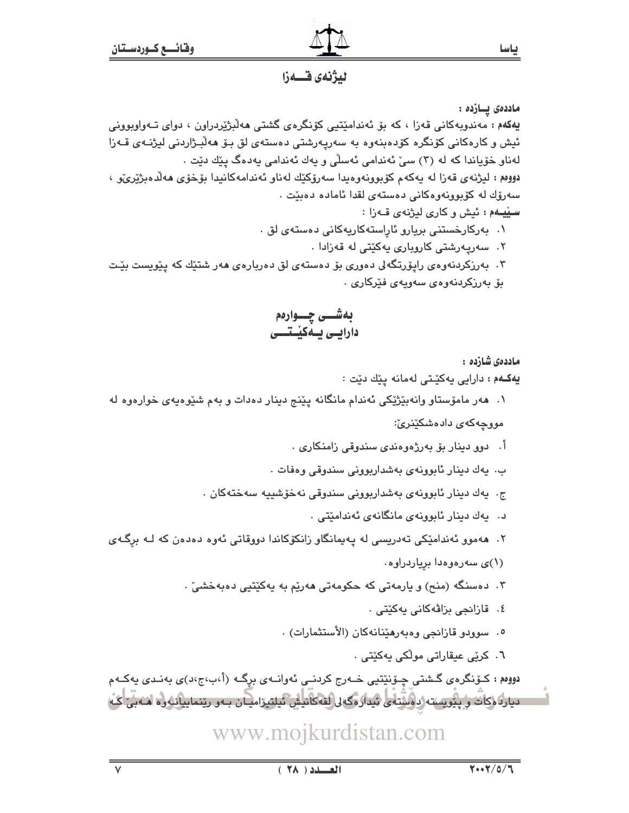

لىۋنەي قسىەزا

ماددەى يسازدە :

پهکهم : مەندوبەکانى قەزا ، کە بۆ ئەندامێتيى کۆنگرەي گشتى ھەلْبژێردراون ، دواي تــەواوبوونى ئيش و کارەکانى کۆنگرە کۆدەبنەوە بە سەريەرشتى دەستەي لق بىۆ ھەلىبژاردنى لېژنىەي قىەزا لەناو خۆياندا كە لە (٣) سىّ ئەندامى ئەسلّى و پەك ئەندامى پەدەگ پێك دێت . دووهم: ليژنهي قهزا له يهكهم كۆبورنهوهيدا سهرۆكێك لهناو ئەندامەكانيدا بۆخۆى ھەلدەبژێرئ ، سەرۆك لە كۆپوۋنەۋەكانى دەستەي لقدا ئامادە دەبێت .

سييههم : ئيش و كارى ليژنهى قــهزا :

۰۱ بەركارخستنى بريارو ئاراستەكاريەكانى دەستەى لق .

۲. سەرپەرشتى كاروبارى پەكێتى لە قەزادا .

۰۳ بهرزکردنهوهی رایوّرتگه لی دهوری بوّ دهستهی لق دهربارهی ههر شتیّك كه ییّویست بیّت ىۆ بەرزكردنەوەي سەويەي فێركارى .

بەشـــى چـــوارەم دارایسی بسه کیستسسی

ماددەى شازدە :

يەكـهم : دارايى يەكێتى لەمانە يێك دێت :

۰۱ هەر مامۆستاو وانەبێژێکی ئەندام مانگانە پێنج دینار دەدات و بەم شێوەپەی خوارەوە لە

مووچهکهی دادهشکێنرێ:

- اً. دوو دینار بۆ بەرژەوەندى سندوقى زامنكارى .
- ب. يەك دېنار ئابوونەي بەشداريوونى سندوقى وەفات .
- ج. يەك دېنار ئابوونەي بەشداربوونى سندوقى نەخۆشىييە سەختەكان .
	- د. پهك دينار ئابوونهى مانگانهى ئەندامێتى .
- ۲. هەموو ئەندامێکی تەدریسی لە پەيمانگاو زانکۆکاندا دووقاتی ئەوە دەدەن کە لـە برگـەی (۱)ی سەرەوەدا برياردراوە.
	- ۴. دەسنگە (منح) و يارمەتى كە حكومەتى ھەرێم بە يەكێتپى دەبەخشى٘ .
		- ٤. قازائجي بزاڤهكاني پهكێتي ٠
		- ٥. سوودو قازانجي وهبەرهێنانەكان (الأستثمارات) .
			- ٦. کرێی عیقاراتی مولّکی بهکێتی ٠

دووهم : کـۆنگرەى گـشتى چـۆنێتيى خــەرج كردنــى ئەوانــەى بِرِگـه (أ،ب،ج،د)ى بەنـدى يەكــەم دياردگركات و پيويسته دوسته و مسلم شدارمگه لى لقه كانيش ئيلتيزاميان بـهو رينماييانله وه امنه بي كُه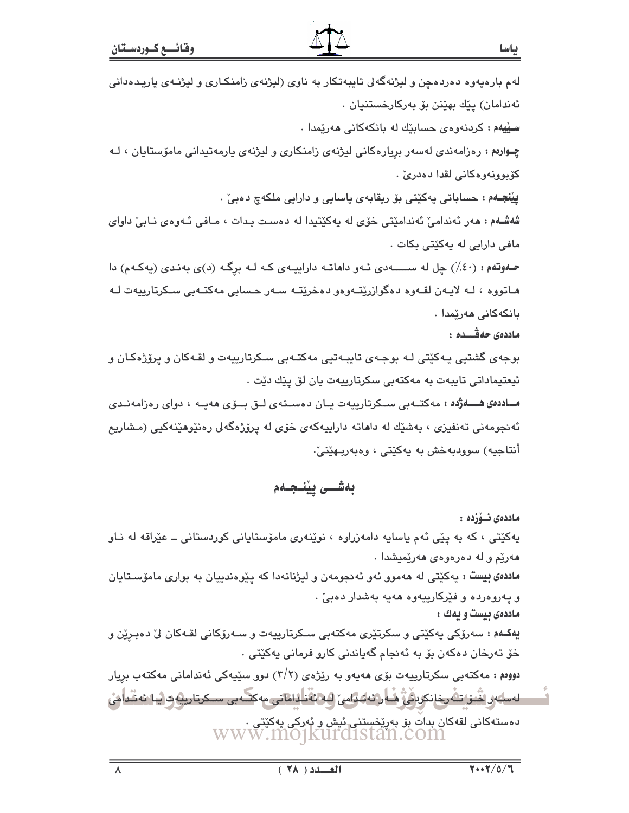| 7.77/07<br>$(X \wedge X)$<br>$\lambda$                                                                                                            |
|---------------------------------------------------------------------------------------------------------------------------------------------------|
|                                                                                                                                                   |
| دەستەكانى لقەكان بدات بۆ بەريخستنى ئېش و ئەركى يەكێتى .<br>WWW.MOJKUIOIStan.COM                                                                   |
| <u>لەسلەر اننىق تەرخانكرىرنى قىلىرتەلەرلەين (ئەلئەنلەلھتى مەكتەبى سىكرتارىيەت ئيا ئەننىلەنى</u>                                                   |
| دووم : مەكتەبى سكرتارىييەت بۆي ھەيەو بە رێژەي (٢/٢) دوو سێيەكى ئەندامانى مەكتەب برِيار                                                            |
| خۆ تەرخان دەكەن بۆ بە ئەنجام گەياندنى كارو فرمانى يەكێتى ٠                                                                                        |
| <b>يەكـەم :</b> سەرۆكى يەكێتى و سكرتێ <i>رى</i> مەكتەبى سـكرتارىيەت و سـەرۆكانى لقـەكان لىّ دەبـرِێن و                                            |
| ماددهی بیست و یهك :                                                                                                                               |
| <b>ماددهی بیست :</b> یهکیتی له ههموو ئهو ئهنجومهن و لیژنانهدا که پیوهندییان به بواری ماموّسـتایان<br>و پهروهرده و فێرکارییهوه ههیه بهشدار دهبیٚ . |
| هەرێم و لە دەرەوەى ھەرێميشدا .                                                                                                                    |
| یهکێتی ، که به پێی ئهم یاسایه دامهزراوه ، نوێنهری مامۆستایانی کوردستانی ــ عێراقه له نـاو                                                         |
| ماددەى ئىۆزدە :                                                                                                                                   |
| بەشــى پێنـجـەم                                                                                                                                   |
|                                                                                                                                                   |
| أنتاجيه) سوودبەخش بە يەكێتى ، وەبەربىھێنىٚ.                                                                                                       |
| ئەنجومەنى تەنفیزى ، بەشێك لە داھاتە داراييەكەي خۆی لە پرۆژەگەلى رەنێوھێنەكيى (مـشاريع                                                             |
| مىلادەئ ھـــەژدە : مەكتــەبى ســكرتارىيەت يـان دەســتەي لــق بــۆي ھەيــە ، دواي رەزامەنــدى                                                      |
| <mark>ئيعتي</mark> ماداتى تايبەت بە مەكتەبى سكرتارييەت يان لق پێك دێت .                                                                           |
| بوجەی گشتیی یـەکێتی لـه بوجـەی تایبـەتیی مەکتـەبی سـکرتارییەت و لقـەکان و پرۆژەکـان و                                                             |
| ماددەى حەڤـــدە :                                                                                                                                 |
| بانكەكانى ھەرێمدا .                                                                                                                               |
| هـاتووه ، لـه لايـهن لقـهوه دهگوازرێتـهوهو دهخرێتـه سـهر حـسابي مهکتـهبي سـکرتارييهت لـه                                                          |
| حموتهم : (٤٠٪) چل له ســــــهدى ئــهو داهاتــه داراييــهى كـه لــه برِگـه (د)ى بهنـدى (يهكـهم) دا                                                 |
| مافی دارایی له یهکێتی بکات .                                                                                                                      |
| شفشـفم : هەر ئەندامىٰ ئەندامێتى خۆى لە يەكێتيدا لە دەسـت بـدات ، مـافى ئـەوەى نـابىٰ داواى                                                        |
| <b>پیْنجـﻪم</b> : ﺣﺴﺎﺑﺎﺗﯽ ﯾﻪﮐﯿٚﺘﯽ ﺑﯚ ﺭﯾﻘﺎﺑﻪﯼ ﯾﺎﺳﺎﯾﯽ ﻭ ﺩﺍﺭﺍﯾﯽ ﻣﻠﮑﻪﭺ ﺩﻩﺑﯽٚ .                                                                        |
| کۆبوونەوەكانى لقدا دەدرىٰ .                                                                                                                       |
|                                                                                                                                                   |

لهم بارهیهوه دهردهچن و لیژنهگهلی تایبهتکار به ناوی (لیژنهی زامنکاری و لیژنـهی یاریـدهدانی

چـوارهم : رەزامەندى لەسەر بريارەكانى ليژنەي زامنكارى و ليژنەي يارمەتيدانى مامۆستايان ، لـه

ياسا

ئەندامان) پێك بهێنن بۆ بەركارخستنيان .

سییهم: کردنهوهی حسابیّك له بانكهكانی ههریمدا .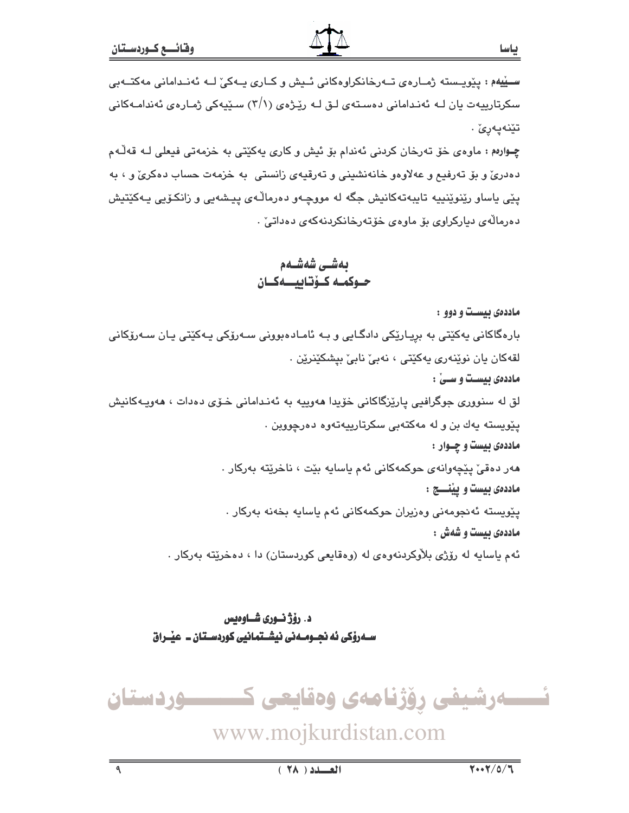سيپيهم : پێويـسته ژمـارەي تــەرخانكراوەكانى ئـيش و كــارى پــەكى' لــه ئەنـدامانى مەكتــەبى سکرتارىيەت يان لـه ئەنـدامانى دەسـتەي لـق لـه رێـِژەي (٢/١) سـێيەكى ژمـارەي ئەندامـەكانى تێنەيەرێ .

چــوارهم : ماوهي خۆ تەرخان كردنى ئەندام بۆ ئيش و كارى يەكێتى بە خزمەتى فيعلى لــه قەڵـەم دهدريٌّ و بوّ تەرفيع و عەلاوەو خانەنشيني و تەرقيەي زانستي بە خزمەت حساب دەكرىٌّ و ، بە يٽِي ياساو رێنوێنڀيه تايبهتهکانيش جگه له مووچـهو دەرماڵـهي پيـشهيي و زانکـۆيي پـهکێتيش دەرمالەي دياركراوي بۆ ماوەي خۆتەرخانكردنەكەي دەداتى .

## بەشى شەشـەم حـوكمـه كـۆتـاييـــهكــان

ماددهی بیست و دوو :

بارهگاکانی پەکێتی بە بریارێکی دادگـایی و بـه ئامـادەبوونی سـەرۆکی پـەکێتی پـان سـەرۆکانی لقەكان يان نوێنەرى پەكێتى ، نەبىٰ نابىٰ بيشكێنرێن . ماددهی بیست و سـیٰ : لق له سنووري جوگرافيي پارێزگاکاني خۆيدا هەوپيه به ئەنـداماني خــۆي دەدات ، هەوپــەکانيش يٽويسته يهك بن و له مهكتهبي سكرتارييهتهوه دهرچووين . ماددهی بیست و چــوار : مەر دەقىٰ پێچەوانەي حوكمەكانى ئەم ياسايە بێت ، ناخرێتە بەركار . ماددهی بیست و ییْنسسج : پێویسته ئەنجومەنی وەزیران حوکمەکانی ئەم یاسایە بخەنە بەرکار . ماددەي ئىست و شەش : ئهم پاسايه له رۆژي بلاْوكردنهوهي له (وهقايعي كوردستان) دا ، دهخريّته بهركار .

## د. رؤژ نسوري شساوهيس

ئىسسەرشيفى رۆژنامەى وەقايعى كىسسسوردستان www.mojkurdistan.com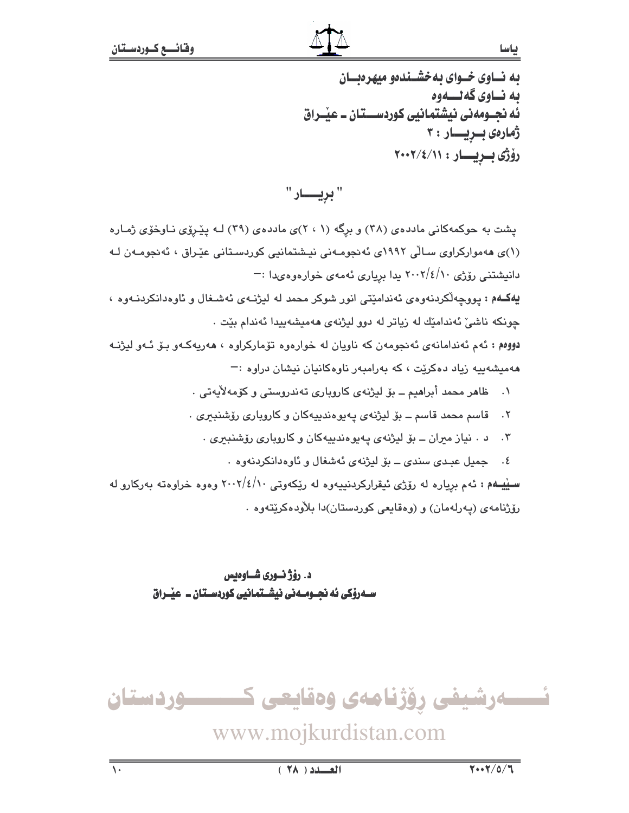به نساوی خسوای به خشسندهو میهرهنسان ىە نــاوي گەنــــەوە ئه نجــومهنی نیشتمانیی کوردســـتـان ــ عیـْــراق ژمارەى بىريسار: ٣ رۆژى بىريسار : ٢٠٠٢/٤/١١

" بريـــــار "

یشت به حوکمهکانی ماددهی (۳۸) و برگه (۱ ، ۲)ی ماددهی (۳۹) لـه پیروی نـاوخوّی ژمـاره (۱)ی ههموارکراوی سالّی ۱۹۹۲ی ئه نجومهنی نیشتمانیی کوردستانی عیّراق ، ئه نجومهن لـه دانیشتنی رۆژی ۲۰۰۲/٤/۱۰ یدا بریاری ئەمەی خوارەوەیدا :– یهکهم : پووچهاکردنهوهی ئهندامیتی انور شوکر محمد له لیژنهی ئهشغال و ئاوهدانکردنـهوه ، چونکه ناشیّ ئەندامیّك له زیاتر له دوو لیژنهی ههمیشهییدا ئەندام بیّت . دووهم : ئهم ئەندامانەي ئەنجومەن كە ناويان لە خوارەوە تۆماركراوە ، ھەريەكـەو بىۆ ئـەو ليژنـه ههمیشهییه زیاد دهکریت ، که بهرامبهر ناوهکانیان نیشان دراوه :-۰۱ ظاهر محمد أبراهيم ــ بۆ ليژنهي كاروپاري تهندروستي و كۆمەلايەتى . ٢. قاسم محمد قاسم ــ بۆ ليژنهى پهيوهندييهكان و كاروبارى رۆشنبيرى .

- ۰۳ د . نياز ميران ــ بۆ ليژنهى يەيوەندىيەكان و كاروبارى رۆشنبيرى .
	- ٤. حميل عبدي سندي ــ بۆ ليژنهي ئهشغال و ئاوەدانكردنهوه .

سییهم : ئهم بریاره له رۆژی ئیقرارکردنییهوه له ریکهوتی ۲۰۰۲/٤/۱۰ وهوه خراوهته بهرکارو له رۆژنامەي (پەرلەمان) و (وەقايعى كوردستان)دا بلاودەكريتەوە .

> د. رؤژ نسوری شساوهیس

ئــــــەرشيفى رۆژنامەى وەقايعى كــــــــــوردستان www.mojkurdistan.com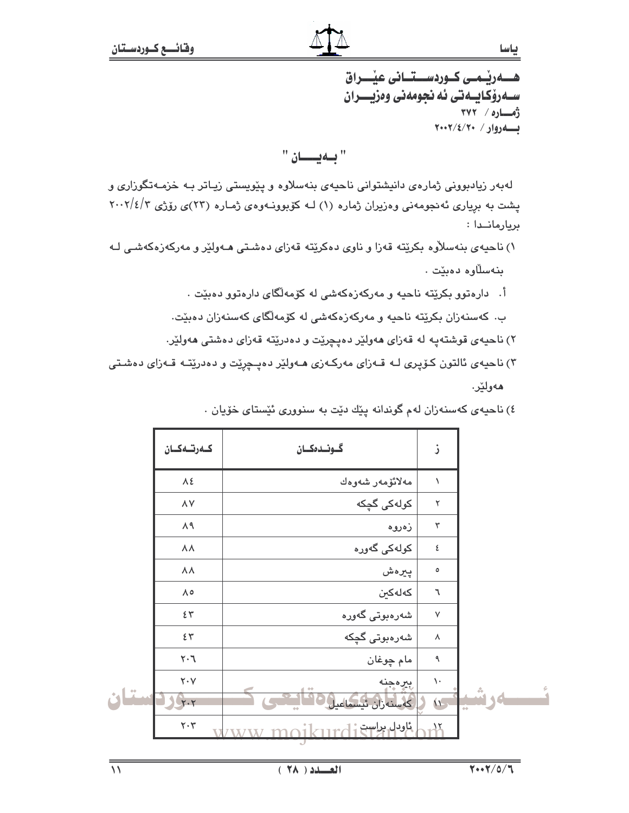ســهرۆكـابــهتى ئه نجومەنى وەزيــــران ژەسارە / ۳۷۲ بهروار/ ٢٠٠٢/٤/٢٠٠٢

"بهيان"

لهبهر زیادبوونی ژمارهی دانیشتوانی ناحیهی بنهسلاوه و پیویستی زیاتر بـه خزمـهتگوزاری و پشت به بریاری ئهنجومهنی وهزیران ژماره (۱) لـه کوّبوونـهوهی ژمـاره (۲۳)ی روّژی ۲۰۰۲/٤/۲ بريارمانــدا :

- ۱) ناحیهی بنهسلاّوه بکریّته قهزا و ناوی دهکریّته قهزای دهشتی هـهولیّر و مهرکهزهکهشـی لـه بنەسلاوە دەبێت .
	- أ. دارهتوو بکرێته ناحیه و مەرکەزەکەشى لە کۆمەلگاى دارەتوو دەبێت .
	- ب. كەسنەزان بكرێتە ناحيە و مەركەزەكەشى لە كۆمەلگاي كەسنەزان دەبێت.
	- ۲) ناحیهی قوشتهیه له قهزای ههولیّر دهیچریّت و دهدریّته قهزای دهشتی ههولیّر.
- ۳) ناحیهی ئالتون کـۆپری لـه قـهزای مهرکـهزی هـهولێر دهپـچرێت و دهدرێتـه قـهزای دهشـتی هەولێر.

|           | كەرتىەكان                      | گونىدەكسان               | ز              |        |
|-----------|--------------------------------|--------------------------|----------------|--------|
|           | $\lambda$ ٤                    | مەلائۆمەر شەوەك          | $\sqrt{2}$     |        |
|           | $\wedge \vee$                  | کولەکى گچکە              | ٢              |        |
|           | $\Lambda$ ٩                    | زەروە                    | ٣              |        |
|           | $\Lambda\,\Lambda$             | کولەکى گەورە             | ٤              |        |
|           | $\lambda\,\lambda$             | پيرەش                    | ٥              |        |
|           | $\Lambda$ o                    | كەلەكىن                  | $\mathcal{r}$  |        |
|           | 25                             | شەرەبوتى گەورە           | $\mathsf{V}$   |        |
|           | $\epsilon$                     | شەرەبوتى گچكە            | $\lambda$      |        |
|           | $\mathcal{F}\cdot \mathcal{Y}$ | مام چوغان                | ٩              |        |
|           | $\mathbf{Y}\cdot\mathbf{V}$    | بيرمجنه                  | $\backslash$ . |        |
| $\cdot$ 1 | Y.7                            | كەسنەران ئىسماعىل        | $\sqrt{7}$     | للويشه |
|           | $\mathbf{Y}\cdot\mathbf{Y}$    | بالودل بواست أح التقاريخ | $\lambda x$    |        |

٤) ناحيهي کهسنهزان لهم گوندانه پێك دێت به سنووري ئێستاي خۆيان ٠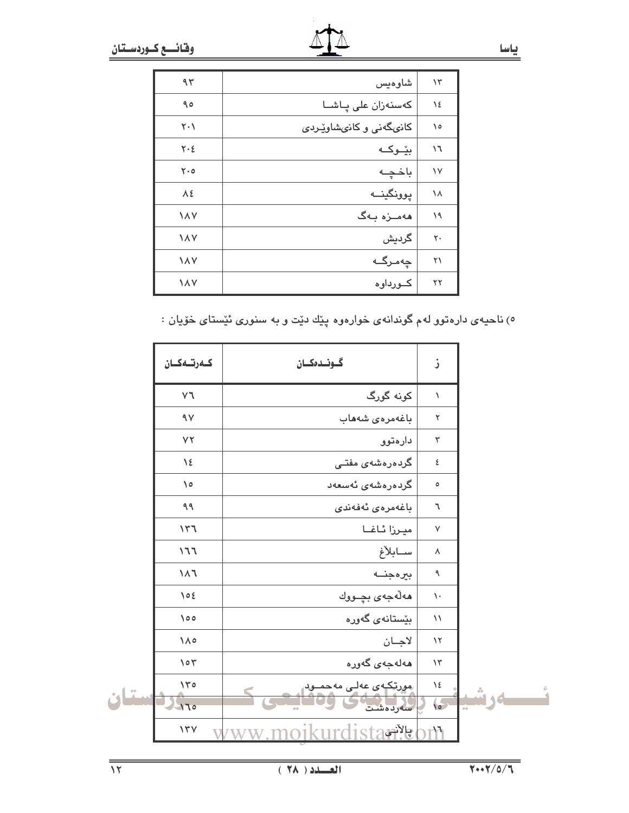| $\mathcal{N}$ | شاوەيس                 | 95         |
|---------------|------------------------|------------|
| ١٤            | كەسنەزان على پـاشــا   | ۹٥         |
| ۱٥            | کانىگەنى و کانىشاوێردى | ۲۰۱        |
| ۱٦            | بێٶؼﻪ                  | ٢٠٤        |
| ١٧            | باخچه                  | ۲۰٥        |
| ١٨            | پوونگينــه             | ٨٤         |
| ۱۹            | مەمىزە بەگ             | ١٨٧        |
| ٢٠            | گردیش                  | <b>IAV</b> |
| ۲۱            | چەمرگە                 | <b>IAV</b> |
| ۲۲            | كــورداوه              | <b>IAV</b> |

٥) ناحیهی دارهتوو لهم گوندانهی خوارهوه پێك دێت و به سنوری ئێستای خۆیان :

|               | كەرتىەكسان                     | گونىدەكـان                               | ز                                 |      |
|---------------|--------------------------------|------------------------------------------|-----------------------------------|------|
|               | $\mathsf{r}\mathsf{v}$         | کونه گورگ                                | $\lambda$                         |      |
|               | $\gamma$                       | باغەمرەي شەھاب                           | ٢                                 |      |
|               | YY                             | دارەتوو                                  | $\mathbf r$                       |      |
|               | $\lambda$                      | گردەرەشەي مفتـى                          | ٤                                 |      |
|               | $\sqrt{0}$                     | گردەرەشەي ئەسعەد                         | $\mathsf{o}\xspace$               |      |
|               | ۹۹                             | باغەمرەي ئەڧەندى                         | ٦                                 |      |
|               | 141                            | ميرزا ئاغـا                              | $\sf V$                           |      |
|               | 177                            | سابلأغ                                   | ٨                                 |      |
|               | $\mathcal{F}\wedge\mathcal{E}$ | بيرهجنه                                  | ٩                                 |      |
|               | $\bigwedge$ $\circ$ $\xi$      | هەلەجەى بچــووك                          | $\backslash$ .                    |      |
|               | $\lozenge$                     | بێستانەي گەورە                           | $\backslash\!\!\backslash$        |      |
|               | $\lambda \wedge \circ$         | لاجان                                    | $\backslash\!\!\uparrow$          |      |
|               | $\circ$                        | مەلەجەي گەورە                            | $\backslash \Upsilon$             |      |
| $\frac{1}{2}$ | 150<br>$H_{\text{loc}}$        | <u>پورتکېوی عولی موحمیود </u><br>سەردەشت | $\backslash$ ٤<br>$\sqrt{\sigma}$ | لەرش |
|               | $\gamma \gamma$                | ista الجامع                              | r۱٦                               |      |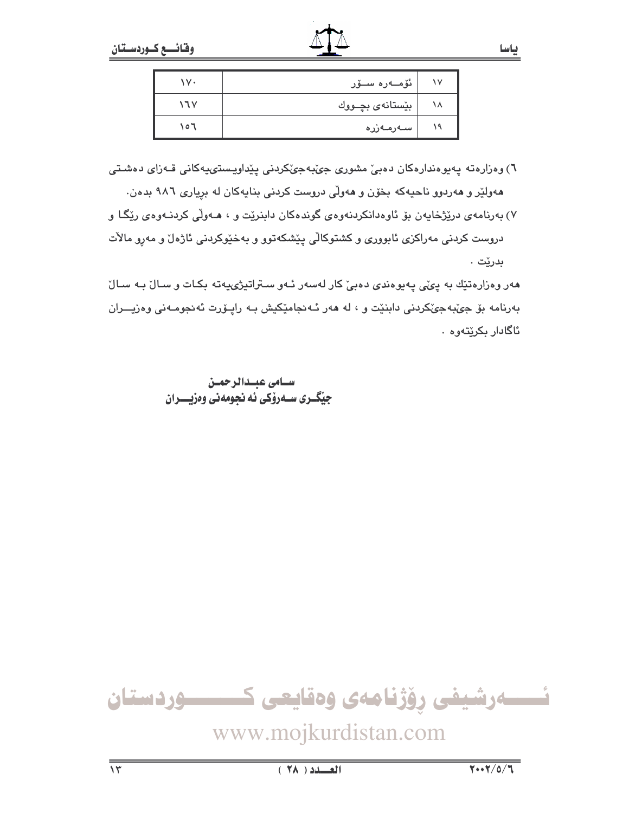| ۱v۰   | ئۆمـەرە سـۆر     |           |
|-------|------------------|-----------|
| ۱٦۷   | بێستانهی بچــووك | $\lambda$ |
| ۲ ه ۱ | سەرمەزرە         |           |

٦) وەزارەتە پەيوەندارەكان دەبىؒ مشورى جىؒبەجىؒكردنى پێداويستىپەكانى قـەزاى دەشىتى ههولێر و ههردوو ناحیهکه بخوّن و ههولی دروست کردنی بنایهکان له بریاری ۹۸٦ بدهن.

۷) بهرنامهی درێژخایهن بۆ ئاوهدانکردنهوهی گوندهکان دابنرێت و ، هــهولْی کردنــهوهی رێگـا و دروست کردنی مەراکزی ئابووری و کشتوکالی پێشکەتوو و بەخێوکردنی ئاژەل و مەرو مالات بدرێت .

هەر وەزارەتێك بە پى*ڭى* پەيوەن*دى د*ەبىؒ كار لەسەر ئـەو سـتراتيژىيەتە بكـات و سـالؒ بـە سـالؒ بەرنامە بۆ جى،بەجى،كردنى دابنيت و ، لە ھەر ئـەنجاميكيش بـه رايـۆرت ئەنجومـەنى وەزيـــران ئاگادار بکرێتەوە .

> سـامى عبــدالرحمــن جيّگـري سـهرۆكي ئه نجومهني وەزيـــران

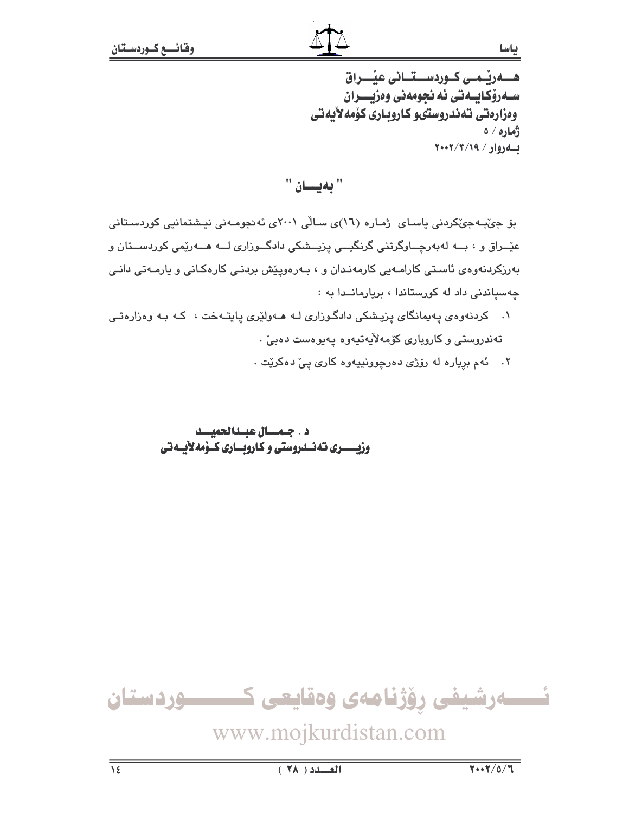ھےریے کوردسےتانی عیٰـــراق سـەرۆكـابــەتى ئە نحومەنى وەزيــــران وەزارەتى تەندروستىو كاروبارى كۆمەلأيەتى ژماره / ه  $Y \cdot Y / Y / (9 / 9)$ 

" بەيسان "

بۆ جىنبەجىكردىنى ياسـاى ژمـارە (١٦)ى سـالّى ٢٠٠١ى ئەنجومـەنى نيـشتمانيى كوردسـتانى عێــراق و ، بـــه لهبهرچـــاوگرتنی گرنگیـــی پزیـــشکی دادگـــوزاری لـــه هـــهرێمی کوردســـتان و بەرزکردنەوەی ئاستى كارامـەيى كارمەنـدان و ، بـەرەوپێش بردنـى كارەكـانى و يارمـەتى دانـى چەسپاندنى داد له كورستاندا ، بريارماندا به :

۱. کردنهوهی یهیمانگای یزیشکی دادگوزاری لـه هـهولێری یابتـهخت ، کـه بـه وهزارهتـی تەندروستى و كاروپارى كۆمەلأپەتپەوە پەيوەست دەبى .

۲. ئهم برياره له رۆژى دەرچوونييەوە كارى يے، دەكريّت .

### د . جمسال عبدالحميسد وزيــــــري تهنـــدروستي و كـارويـــاري كــۆمەلأيــهتي

ئــــــەرشيفى رۆژنامەى وەقايعى كــــــــــوردستان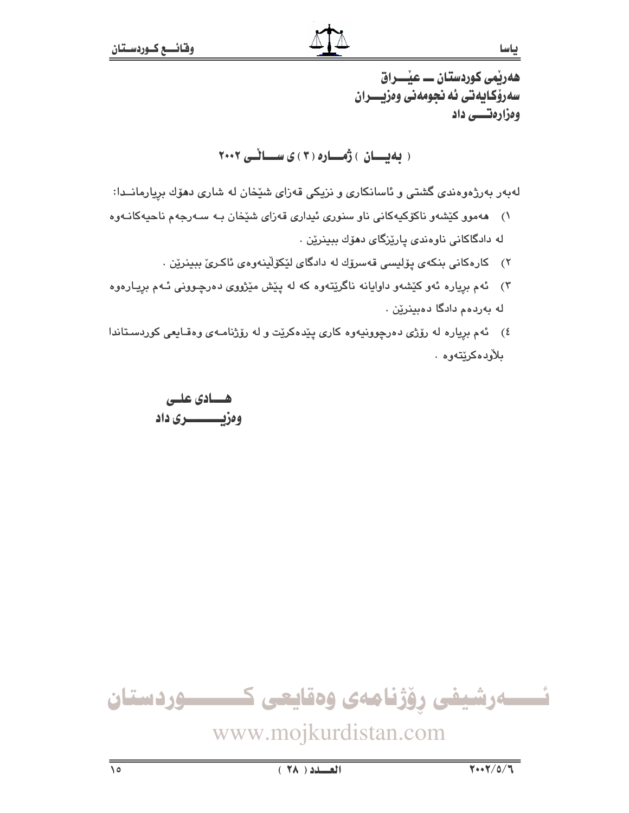ھەرپمی كوردستان ـــ عیْــــراق سەرۆكايەتى ئە نجومەنى وەزيــــران وەزارەتىسى داد

(بهیسان) ژهساره (۳) ی سسائلی ۲۰۰۲

لهبهر بهرژهوهندی گشتی و ئاسانکاری و نزیکی قهزای شێخان له شاری دهۆك بریارمانــدا:

- ١) ههموو کێشهو ناکۆکیهکانی ناو سنوری ئیداری قهزای شێخان بـه سـهرجهم ناحیهکانـهوه له دادگاکانی ناوهندی پارێزگای دهۆك بېينرێن .
	- ٢) كارەكانى بنكەي يۆليسى قەسرۆك لە دادگاي لێكۆلينەوەي ئاكرى بېينرێن .
- ۳) گهم برياره ئهو کێشهو داوايانه ناگرێتهوه که له پێش مێژووی دهرچـوونی ئـهم بريـارهوه له بەردەم دادگا دەبينرێن .
- ٤) ئهم برياره له رۆژى دەرچوونيەوه كارى پێدەكرێت و له رۆژنامـهى وەقـايعى كوردسـتاندا بلأودەكرێتەوە .

هسيادي عليى وەزيــــــــــرى داد



www.mojkurdistan.com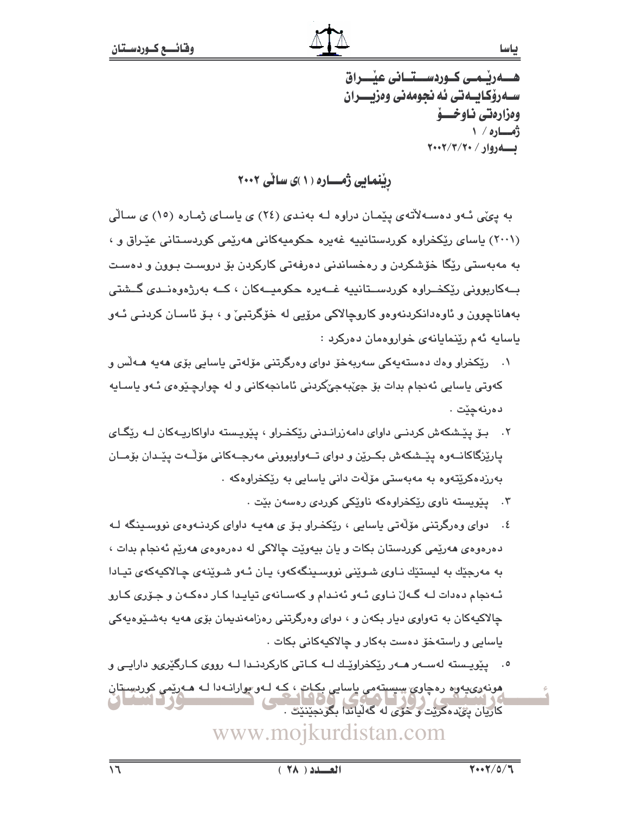سـهرۆكـايــهتى ئه نجومهنى وەزيــــران وەزارەتى ناوخسۆ ژمساره / ۱  $Y \cdot Y / Y / Y \cdot / \sqrt{960}$ 

ریْنمایی ژمساره (۱)ی سالّی ۲۰۰۲

به ییّی ئـهو دهسـهلاّتهی پیّمـان دراوه لـه بهنـدی (٢٤) ی پاسـای ژمـاره (١٥) ی سـالّی (۲۰۰۱) یاسای ریکخراوه کوردستانییه غهیره حکومیهکانی ههریمی کوردستانی عیّراق و ، به مەبەستى رێِگا خۆشكردن و رەخساندنى دەرفەتى كاركردن بۆ دروست بـوون و دەست بــهکارپوونی ریکخــراوه کوردســتانییه غــهیره حکومیــهکان ، کــه بهرژهوهنــدی گــشتی بههاناچوون و ئاوهدانکردنهوهو کاروچالاکی مرۆپی له خۆگرتبیّ و ، بـۆ ئاسـان کردنـی ئـهو ياسايه ئهم رينمايانهي خواروهمان دەركرد :

- ١. رێڬخراو وهك دەستەپەكى سەربەخۆ دواي وەرگرتنى مۆلەتى پاسايى بۆي ھەپە ھـﻪلس و کهوټي پاسايي ئهنجام بدات بۆ جېّبهجېٚکردني ئامانجهکاني و له چوارچـێوهي ئـهو پاسـايه دەرنەچێت .
- ۲. بـۆ يێـشکەش کردنـی داوای دامەزرانـدنی رێکخـراو ، يێويـسته داواکاريـەکان لـه رێگـای پارێِزگاکانــهوه پێـشکهش بکــرێن و دوای تــهواوبوونی مهرجــهکانی مۆڵـهت پێـىدان بۆمــان بەرزدەكرێتەوە بە مەبەستى مۆلّەت دانى ياسايى بە رێكخراوەكە ٠
	- ۰. ییویسته ناوی ریکخراوهکه ناویکی کوردی رهسهن بیت .
- ٤. دوای وهرگرتنی مۆلّەتی باسایی ، رێکخراو بۆ ی هەپـه داوای کردنـهوهی نووسـینگه لـه دهرهوهي ههريمي کوردستان بکات و پان بيهويّت چالاکي له دهرهوهي ههريّم ئه نجام بدات ، به مەرجێك بە لیستێك نـاوی شـوێنی نووسـینگەكەو، یـان ئـەو شـوێنەی چـالاكیەكەی تیـادا ئـهنجام دهدات لــه گــهلٌ نــاوی ئــهو ئـهنـدام و کهســانهی تیایـدا کــار دهکـهن و جـۆری کــارو چالاکیهکان به تهواوی دیار بکهن و ، دوای وهرگرتنی رهزامهندیمان بۆی هەیه بەشىپوەيەکى ياسايي و راستەخۆ دەست بەكار و چالاكيەكانى بكات ٠
- ۰. پێویسته لهسـهر هـهر رێکخراوێـك لــه كـاتي كاركردنـدا لــه رووي كـارگێريو دارايـي و هونهوی،پهوه رهچاوي سيستهمي باسايي بکات ، کـه لـهو بوارانـهدا لـه هـهرێمي کوردستان کاریان ییمده کریت و خوی له که لیاندا بگونجینیت .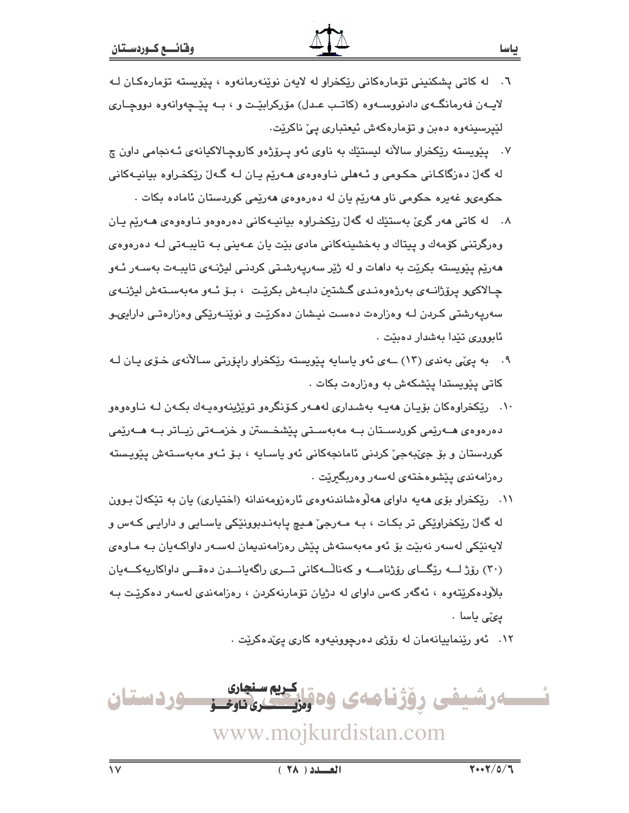- ۷. پیویسته ریکخراو سالآنه لیستیّك به ناوی ئهو پیرۆژەو كاروچالاكیانهی ئـهنجامی داون چ له گەل دەرگاكـانى حكـومى و ئـەھلى نـاوەوەي ھـەرێم يـان لـە گـەل رێكخـراوە بيانيـەكانى حکومۍو غهيره حکومي ناو ههريم يان له دهرهوهي ههريمي کوردستان ئاماده بکات .
- ۸. له کاتي مهر گريّ بهستێك له گهلّ ريْكخراوه بيانيـهکاني دهرهوهو نـاوهوهي مـهريّم يـان وهرگرتنی کۆمەك و پیتاك و بەخشىنەكانى مادى بێت پان عـەپنى بـە تاپبـەتى لـە دەرەوەي هەرپم پیویستە بکریت بە داھات و لە ژیر سەرپەرشتى کردنـي لیژنـەي تابيـەت بەسـەر ئـەو چـالاکیو پرۆژانــهی بەرژەوەنـدی گـشتین دابــەش بکریّـت ، بــوّ ئــهو مەبەسـتەش لیژنــهی سەريەرشتى كردن لـه وەزارەت دەست نيشان دەكرێت و نوێنـەرێكى وەزارەتـى دارايىو ئابوورى تێدا بەشدار دەبێت ٠
- ۹. په پوټي بهندي (۱۳) ــهي ئهو پاسايه پێويسته رێکخراو رايۆرتي سـالأنهي خـۆي پـان لـه کاتی یێویستدا یێشکهش به وهزارهت بکات .
- ۱۰. ريکخراوهکان بۆيـان هەيـە بەشـدارى لەھـەر كـۆنگرەو توپْژينەوەيـەك بكـەن لـە نـاوەوەو دەرەوەي ھــەرێمى كوردســتان بــە مەبەســتى يێشخـستن و خزمــەتى زيــاتر بــە ھــەرێمى کوردستان و بۆ جېّبەجىؒ کردنى ئامانجەکانى ئەو پاسـايە ، بـۆ ئـەو مەبەسـتەش پێويـستە رەزامەندى يێشوەختەي لەسەر وەرىگىرێت .
- ۱۱. ریکخراو بۆی مەيە داوای مەلوەشاندنەوەی ئارەزومەندانە (اختياری) يان بە تێکەلٌ بوون له گەل ريکخراويکي تر بکـات ، بـه مـەرجى هـيـ۾ يابەنـدبوونيکي ياسـايي و دارايـي کـهس و لايەنێکى لەسەر نەبێت بۆ ئەو مەبەستەش پێش رەزامەندىمان لەسـەر داواكـەيان بـە مـاوەي (۳۰) رۆژ لـــه رێگـــای رۆژنامـــه و کهناڵــهکانی تـــری راگهپانـــدن دهقـــی داواکاریهکـــهیان بلاودەكريتەوە ، ئەگەر كەس داواي لە دژيان تۆمارنەكردن ، رەزامەندى لەسەر دەكريىت بـە يى» ياسا .
	- ۱۲. ئەو رېينماييانەمان لە رۆژى دەرچوونيەوە كارى يىدەكريت .

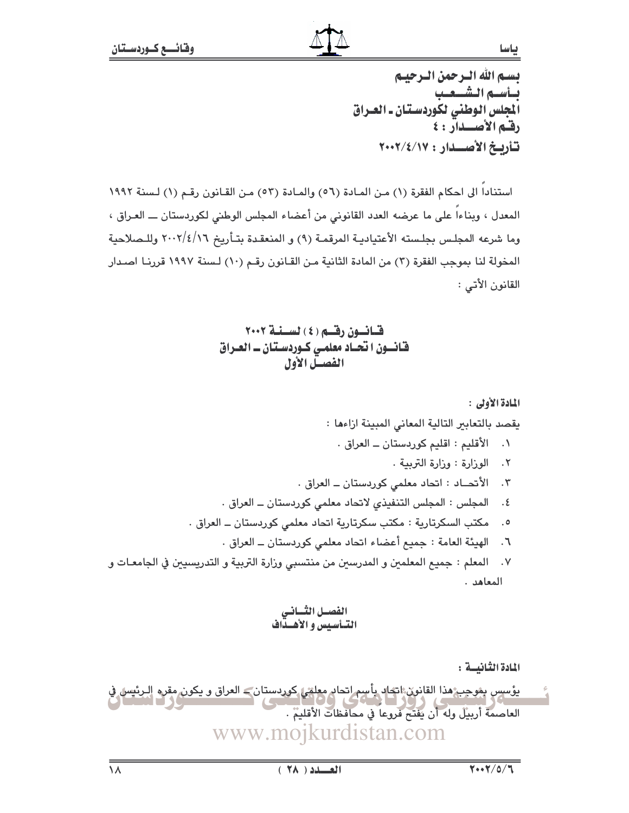بسم الله الترجمن الترجينم بساسه الشيعب .<br>المجلس الوطني لكوردستان ـ العـراق رقم الأصلدار: ٤ تأربخ الأصلدار : ٢٠٠٢/٤/١٧

استنادا الى احكام الفقرة (١) من المادة (٥٦) والمادة (٥٣) من القانون رقم (١) لسنة ١٩٩٢ المعدل ، وبناءاً على ما عرضه العدد القانوني من أعضاء المجلس الوطني لكوردستان ـــ العـراق ، وما شرعه المجلس بجلسته الأعتياديـة المرقمـة (٩) و المنعقـدة بتـأريخ ٢٠٠٢/٤/١٦ وللـصلاحية المخولة لنا بموجب الفقرة (٣) من المادة الثانية مـن القـانون رقـم (١٠) لـسنة ١٩٩٧ قررنـا اصـدار القانون الأتي :

المادة الثانيسة :

يؤسس بشجب هذا القانون اتحاد بأسم اتحاد معلقي كوردستان ــ العراق و يكون مقره الـرئيس في<br>العاصمة أربيل وله أن يفتح فروعاً في محافظات الأقليم .<br>العاصمة أربيل وله أن يفتح فروعاً في محافظات الأقليم . www.mojkurdistan.com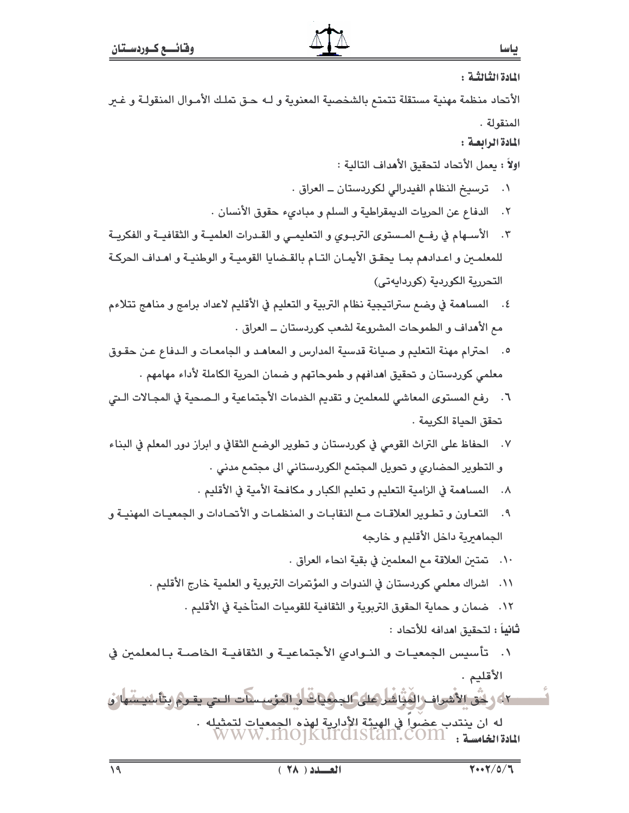المادة الثَّالثَّـة :

الأنحاد منظمة مهنية مستقلة تتمتع بالشخصية المعنوية و لـه حـق تملـك الأمـوال المنقولـة و غــر المنقولة .

المادة الرابعة :

اولاً : بعمل الأتحاد لتحقيق الأهداف التالية :

- ٠١ ترسيخ النظام الفيدرالي لكوردستان ــ العراق ٠
- ٢. الدفاع عن الحريات الديمقراطية و السلم و مبادىء حقوق الأنسان .
- ٢. الأسـهام في رفــع المـستوى التربـوي و التعليمـي و القـدرات العلميــة و الثقافيــة و الفكريــة للمعلمين و اعـدادهم بمـا يحقـق الأيمـان التـام بالقـضايا القوميـة و الوطنيـة و اهـداف الحركـة التحررية الكوردية (كوردايهتي)
- ٤. المساهمة في وضم ستراتيجية نظام التربية و التعليم في الأقليم لاعداد برامج و مناهج تتلاءم مع الأهداف و الطموحات المشروعة لشعب كوردستان ــ العراق .
- ٥. لحترام مهنة التعليم وحسانة قدسية المدارس و المعاهد و الجامعات و الـدفاع عـن حقـوق معلمي كوردستان و تحقيق اهدافهم و طموحاتهم و ضمان الحرية الكاملة لأداء مهامهم .
- ٦. رفع المستوى المعاشي للمعلمين و تقديم الخدمات الأجتماعية و الـصحية في المجـالات الـتي تحقق الحياة الكريمة .
- ٧. الحفاظ على التراث القومي في كوردستان و تطوير الوضع الثقافي و ابراز دور المعلم في البناء و التطوير الحضاري و تحويل المجتمع الكوردستاني الى مجتمع مدني .
	- ٨. المساهمة في الزامية التعليم و تعليم الكبار و مكافحة الأمية في الأقليم .
- ٩. التعـاون و تطـوير العلاقـات مـع النقابـات و المنظمـات و الأتحـادات و الجمعيـات المهنيـة و الجماهيرية داخل الأقليم و خارجه
	- ١٠. تمتين العلاقة مم المعلمين في بقية انحاء العراق .
	- ١١. اشراك معلمي كوردستان في الندوات و المؤتمرات التربوية و العلمية خارج الأقليم .
		- ١٢. ضمان و حماية الحقوق التربوية و الثقافية للقوميات المتأخية في الأقليم .
			- ثانياً : لتحقيق امدافه للأتحاد :
- تأسيس الجمعيـات و النـوادي الأجتماعيـة و الثقافيـة الخاصـة بـالمعلمين في  $\cdot$ . الأقليم .

٤٢، وَ كُنْ الأَسْرَافِ الْفُوَّاشْلُ(كَايُ)لجِمْهِاتْ أَنْ الْمَوْسَسَات السَّ يقومُ وَتَأْسَيْسَمَارُو له ان ينتدب عضواً في الهيئة الأدارية لهذه الجمعيات لتمثيله .<br>المادة الغامسة : WWW.INO]KUITCISTAN.COM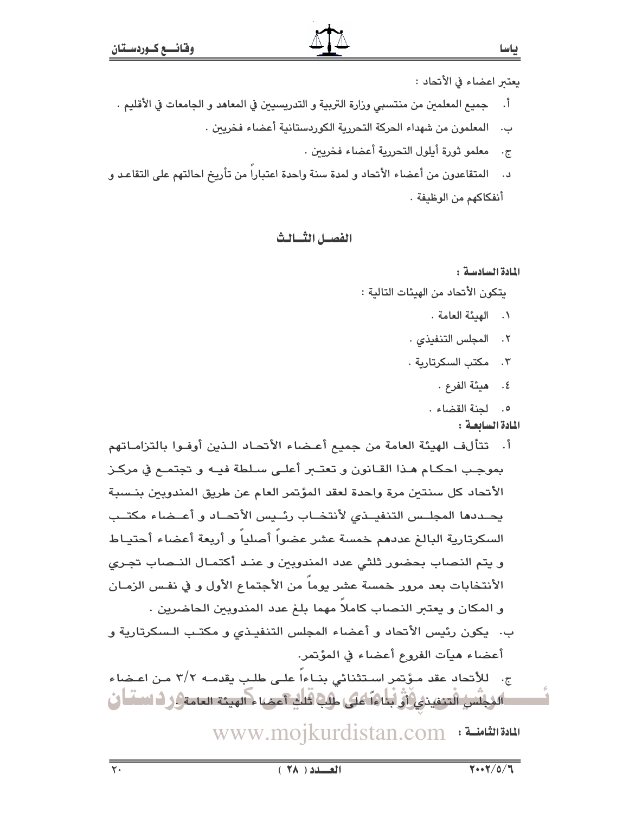بعتىر اعضاء في الأتحاد :

ياسا

- أ. جميع المعلمين من منتسبي وزارة التربية و التدريسيين في المعاهد و الجامعات في الأقليم .
	- ب. المعلمون من شهداء الحركة التحررية الكوردستانية أعضاء فخريين .
		- ج. معلمو ثورة أبلول التحررية أعضاء فخريين .
- د. المتقاعدون من أعضاء الأنحاد و لمدة سنة واحدة اعتبارا من تأريخ احالتهم على التقاعـد و أنفكاكهم من الوظيفة .

## الفصيل الثسالث

## المادة السادسة :

يتكون الأتحاد من الهيئات التالية :

- ٠. الهيئة العامة .
- ٢. المجلس التنفيذي ٠
- ٠٣. مكتب السكرتارية ٠
	- ٤. هيئة الفرع .
	- 0. لحنة القضاء .

## المادة السابعة :

أ. تتألف الهيئة العامة من جميع أعـضاء الأتحـاد الـذين أوفـوا بالتزامـاتهم بموجب احكـام هـذا القـانون و تعتــبر أعلـى سـلطة فيـه و تجتمـع في مركـز الأتحاد كل سنتين مرة واحدة لعقد المؤتمر العام عن طريق المندوبين بنـسبة يحددها المجلس التنفيــذى لأنتخــاب رئــيس الأتحــاد و أعــضاء مكتــب السكرتارية البالغ عددهم خمسة عشر عضواً أصلياً و أربعة أعضاء أحتيـاط و يتم النصاب بحضور ثلثي عدد المندوبين و عنـد أكتمـال النـصاب تجـري الأنتخابات بعد مرور خمسة عشر يوما من الأجتماع الأول و في نفس الزمـان و المكان و يعتبر النصاب كاملاً مهما بلغ عدد المندوبين الحاضرين . ب. يكون رئيس الأتحاد و أعضاء المجلس التنفيذي و مكتب السكرتارية و أعضاء هيآت الفروع أعضاء في المؤتمر.

ج. للأنحاد عقد مـؤتمر اسـتثنائي بنـاءاً علـى طلـب يقدمـه ٢/٢ مـن اعـضاء الدُلِّسُ التحقينيُ(أَوْلَيْلَهَا عَلَى طَلِبٌ قَلْلٍ أَعِضًا مِ الهيئة العامةِ الِ لَهُ السَّلَّ أَن

www.mojkurdistan.com : المادة الثامنــة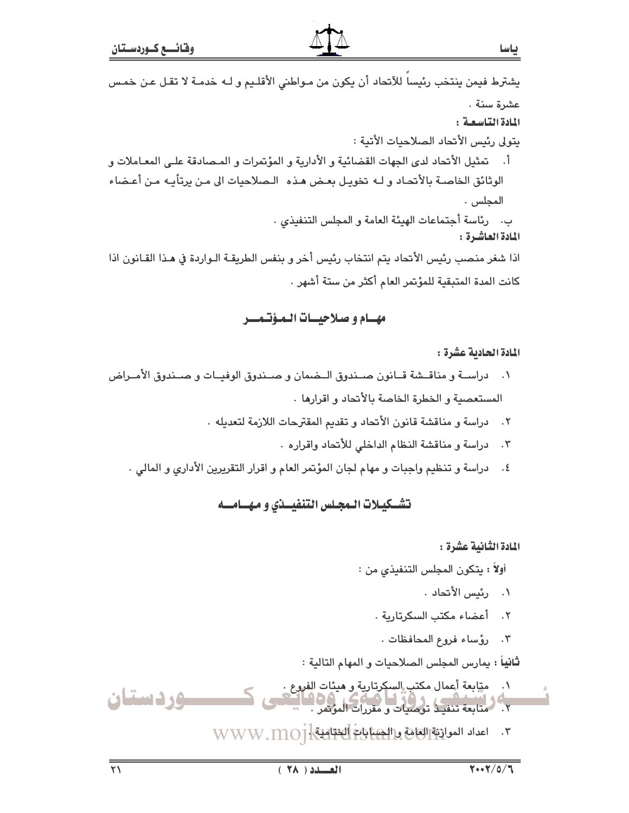يشترط فيمن ينتخب رئيساً للأتحاد أن يكون من مـواطني الأقلـيم و لـه خدمـة لا تقـل عـن خمـس عشرة سنة . المادة التاسعة: يتولى رئيس الأتحاد الصلاحيات الأتية : أ. تمثيل الأتحاد لدى الجهات القضائية و الأدارية و المؤتمرات و المـصادقة علـي المعـاملات و الوثائق الخاصـة بالأتحـاد و لـه تخويـل بعـض هـذه الـصلاحيات الى مـن يرتأيـه مـن أعـضاء المجلس . ب. رئاسة أجتماعات الهيئة العامة و المجلس التنفيذي . المادة العاشرة : اذا شغر منصب رئيس الأتحاد يتم انتخاب رئيس أخر و بنفس الطريقـة الـواردة في هـذا القـانون اذا كانت المدة المتبقية للمؤتمر العام أكثر من ستة أشهر .

## مهيام وصلاحييات المؤتمير

المادة الحادية عشرة :

- ١. دراســة و مناقــشة قــانون صــندوق الــضمان و صــندوق الوفيــات و صــندوق الأمــراض المستعصية والخطرة الخاصة بالأنحاد واقرارها.
	- ٢. دراسة و مناقشة قانون الأتحاد و تقديم المقترحات اللازمة لتعديله .
		- دراسة و مناقشة النظام الداخلي للأتحاد واقراره .  $\cdot$   $\mathsf{r}$
	- ٤. دراسة و تنظيم واجبات و مهام لجان المؤتمر العام و اقرار التقريرين الأداري و المالي .

## تشكيلات المجلس التنفيلذي ومهسامسه

المادة الثّانية عشرة :

أولاً : يتكون المجلس التنفيذي من :

- ٠. رئيس الأتحاد .
- ٢. أعضاء مكتب السكرتارية .
- ٢. رؤساء فروع المحافظات.

**ثانياً :** يمارس المجلس الصلاحيات و المهام التالية :

- ٠١ مقابعة أعمال مكتب السكرتارية و هيئات الفروع . وردستان ۲.<br>۲. متابعة تنفيذ توصيات و مقررات المؤتمر .
	- ٣. اعداد الموالقة العامة والجبتانية العقابية [www.moj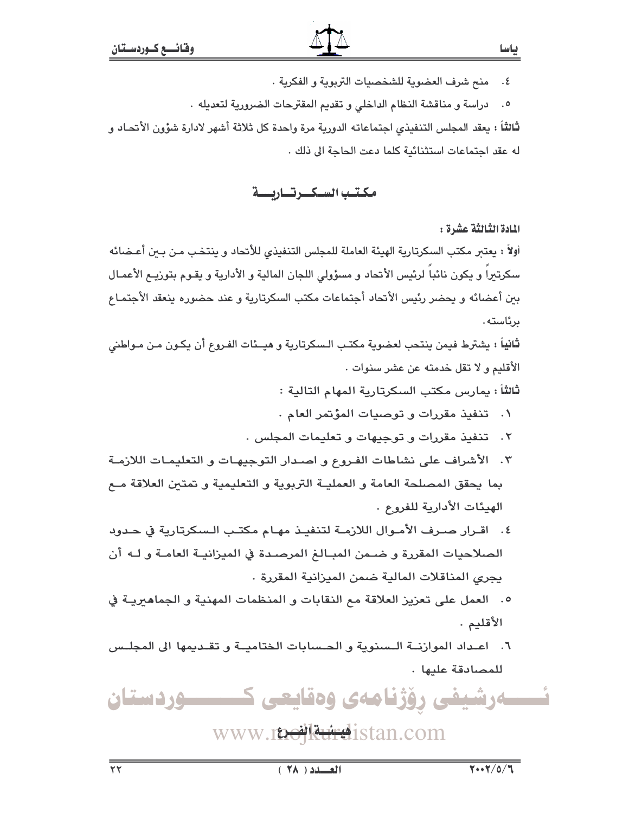منح شرف العضوية للشخصيات التربوية و الفكرية .  $\cdot$  5

٥. دراسة و مناقشة النظام الداخلي و تقديم المقترحات الضرورية لتعديله .

ثالثاً : يعقد المجلس التنفيذي اجتماعاته الدورية مرة واحدة كل ثلاثة أشهر لادارة شؤون الأتحـاد و له عقد اجتماعات استثنائية كلما دعت الحاجة الى ذلك .

مكتب السكرتاريسة

المادة الثَّالثَّة عشرة :

أولاً : يعتبر مكتب السكرتارية الهيئة العاملة للمجلس التنفيذي للأنحاد و ينتخب مـن بـين أعـضائه سكرتيرا و يكون نائبا لرئيس الأتحاد و مسؤولى اللجان المالية و الأدارية و يقـوم بتوزيـم الأعمـال بين أعضائه و يحضر رئيس الأتحاد أجتماعات مكتب السكرتارية و عند حضوره ينعقد الأجتمـاع ىر ئاستە .

ثانياً : يشترط فيمن ينتحب لعضوية مكتب الـسكرتارية و هيــئات الفـروع أن يكـون مـن مـواطني الأقليم و لا تقل خدمته عن عشر سنوات .

ثالثاً : يمارس مكتب السكرتارية المهام التالية :

- ٠. تنفيذ مقررات وتوصيات المؤتمر العام .
- ٢. تنفيذ مقررات و توجيهات و تعليمات المجلس .
- ٣. الأشراف على نشاطات الفروع و اصدار التوجيهـات و التعليمـات اللازمـة بما يحقق المصلحة العامة و العمليـة التربوية و التعليمية و تمتين العلاقة مـع الهيئات الأدارية للفروع .
- ٤. اقــرار صــرف الأمــوال اللازمــة لتنفيــذ مهـام مكتــب الـسكرتارية في حــدود الصلاحيات المقررة و ضـمن المبـالـغ المرصـدة في الميزانيــة العامــة و لــه أن يجري المناقلات المالية ضمن الميزانية المقررة .
- ٥. العمل على تعزيز العلاقة مع النقابات و المنظمات المهنية و الجماهيريـة في الأقليم .
- ٦. اعداد الموازنة السننوية و الحسابات الختامية و تقديمها الى المجلس للمصادقة علىها.

ەرشيفى رۆژنامەي وەقايعى كــــــــــوردستان

www.inellereistan.com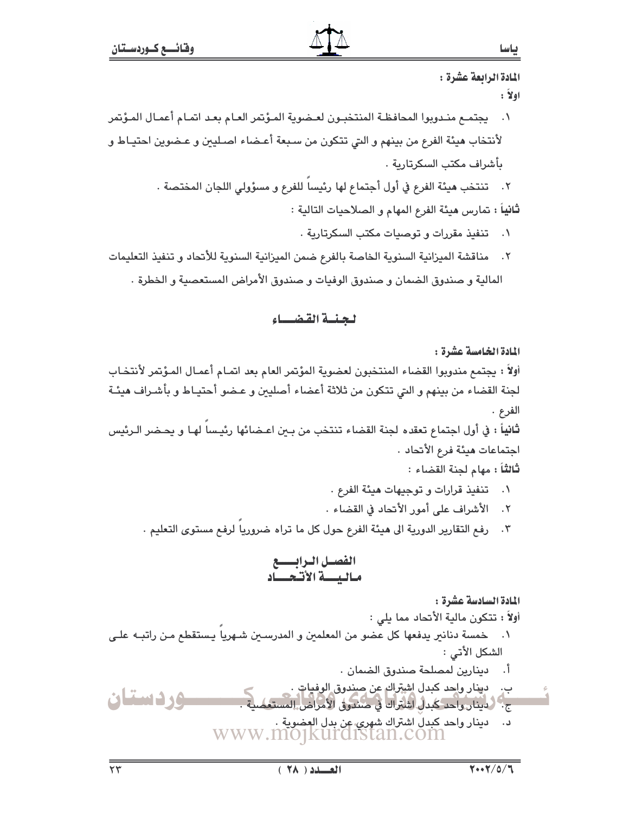## المادة الرابعة عشرة :  $: \mathbf{Y}$ ol يجتمـع منـدوبوا المحافظـة المنتخبـون لعـضوية المـؤتمر العـام بعـد اتمـام أعمـال المـؤتمر  $\mathcal{A}$ لأنتخاب هيئة الفرع من بينهم و التي تتكون من سـبعة أعـضاء اصـليين و عـضوين احتيـاط و بأشراف مكتب السكرتارية . ٢. تنتخب هيئة الفرع في أول أجتماع لها رئيسا للفرع و مسؤولى اللجان المختصة . **ثانياً :** تمارس هيئة الفرع المهام و الصلاحيات التالية : ٠١ - تنفيذ مقررات و توصيات مكتب السكرتارية ٠ ٢. مناقشة الميزانية السنوية الخاصة بالفرع ضمن الميزانية السنوية للأنحاد و تنفيذ التعليمات المالية و صندوق الضمان و صندوق الوفيات و صندوق الأمراض المستعصية و الخطرة . لجنسة القضياء المادة الخامسة عشرة : أولاً : يجتمع مندوبوا القضاء المنتخبون لعضوية المؤتمر العام بعد اتمـام أعمـال المـؤتمر لأنتخـاب لجنة القضاء من بينهم و التي تتكون من ثلاثة أعضاء أصليين و عـضو أحتيـاط و بأشـراف هيئـة الفرع . ثانياً : في أول اجتماع تعقده لجنة القضاء تنتخب من بـين اعـضائها رئيـسا لهـا و يحـضر الـرئيس اجتماعات هيئة فرع الأتحاد .

ثالثاً : مهام لجنة القضاء :

- ٠. تنفيذ قرارات وتوجيهات هيئة الفرع .
- ٢. الأشراف على أمور الأتحاد في القضاء .
- ٣. رفع التقارير الدورية الى هيئة الفرع حول كل ما تراه ضروريا لرفع مستوى التعليم .

المادة السادسة عشرة :

أولاً : تتكون مالية الأتحاد مما يلي :

- خمسة دنانير يدفعها كل عضو من المعلمين و المدرسـين شـهريا يـستقطع مـن راتبـه علـى  $\cdot$ . الشكل الأتي :
	- أ. دينارين لمصلحة صندوق الضمان .
- ب. دينار واحد كبدل اشتراك عن صندوق الوفيات . وردستان ج - لدينار واحد كبدل اشتراك في صندوق الأمراض المستعم
	- د. دينار واحد كبدل اشتراك شهري عن بدل العضوية .<br>WWW.MO]KUrd1Stan.com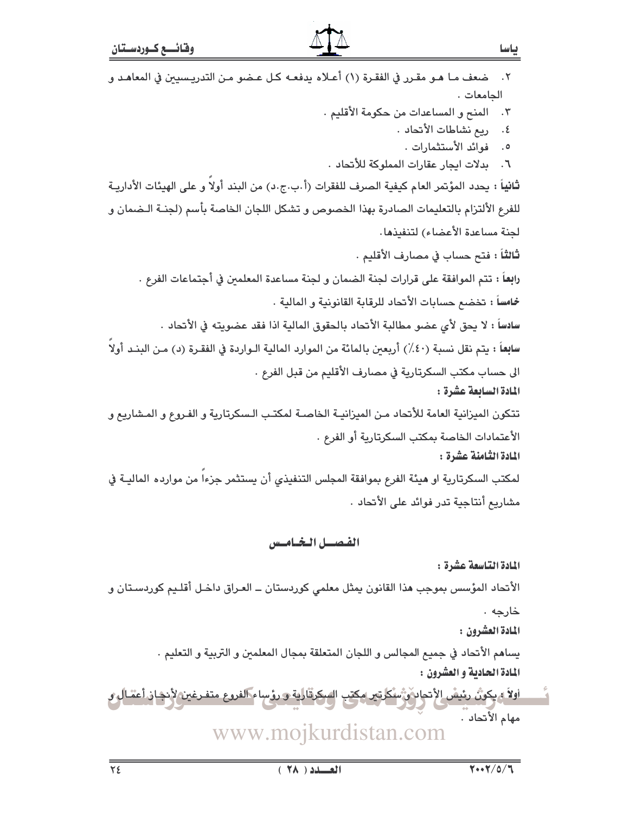| ضعف مـا هـو مقـرر في الفقـرة (١) أعـلاه يدفعـه كـل عـضو مـن التدريـسيين في المعاهـد و<br>$\cdot$ $\mathsf{r}$      |
|--------------------------------------------------------------------------------------------------------------------|
| الجامعات.                                                                                                          |
| المنح و المساعدات من حكومة الأقليم .<br>$\cdot$ ۳                                                                  |
| ريع نشاطات الأتحاد .<br>$\cdot$ ٤                                                                                  |
| فوائد الأستثمارات .<br>$\cdot$ 0<br>بدلات ايجار عقارات المملوكة للأتحاد .<br>٦.                                    |
| ثانياً : يحدد المؤتمر العام كيفية الصرف للفقرات (أ.ب.ج.د) من البند أولاً و على الهيئات الأداريـة                   |
| للفرع الألتزام بالتعليمات الصادرة بهذا الخصوص و تشكل اللجان الخاصة بأسم (لجنــة الـضمان و                          |
| لجنة مساعدة الأعضاء) لتنفيذها.                                                                                     |
| <b>ثالثاً : ف</b> تح حساب في مصارف الأقليم .                                                                       |
| را <b>بع</b> اً : تتم الموافقة على قرارات لجنة الضمان و لجنة مساعدة المعلمين في أجتماعات الفرع .                   |
| <b>خماساً :</b> تخضع حسابات الأتحاد للرقابة القانونية و المالية .                                                  |
| سادساً : لا يحق لأي عضو مطالبة الأتحاد بالحقوق المالية اذا فقد عضويته في الأتحاد .                                 |
| سابِعاً : يتم نقل نسبة (٤٠٪) أربعين بالمائة من الموارد المالية الـواردة في الفقـرة (د) مـن البنـد أولاً            |
| الى حساب مكتب السكرتارية في مصارف الأقليم من قبل الفرع .                                                           |
| المادة السابعة عشرة :                                                                                              |
| تتكون الميزانية العامة للأتحاد مـن الميزانيـة الخاصـة لمكتـب الـسكرتارية و الفـروع و المـشاريع و                   |
| الأعتمادات الخاصة بمكتب السكرتارية أو الفرع .                                                                      |
| المادة الثامنة عشرة :                                                                                              |
| لمكتب السكرتارية او هيئة الفرع بموافقة المجلس التنفيذي أن يستثمر جزءا من موارده الماليـة في                        |
| مشاريع أنتاجية تدر فوائد على الأتحاد .                                                                             |
|                                                                                                                    |
| الفصيل الخياميس                                                                                                    |
| المادة التاسعة عشرة :                                                                                              |
| الأنحاد المؤسس بموجب هذا القانون يمثل معلمي كوردستان ــ العـراق داخـل أقلـيم كوردسـتان و                           |
| خارجه .<br>المادة العشرون :                                                                                        |
|                                                                                                                    |
| يساهم الأتحاد في جميع المجالس و اللجان المتعلقة بمجال المعلمين و التربية و التعليم .<br>المادة الحادية و العشرون : |
| اولاً بهكون رئيسُ الأتحار وسنكرتير مكتب السكرةالية و رؤساء الفروع متفرغين لأنجاز أعمال و                           |
| مهام الأتحاد .                                                                                                     |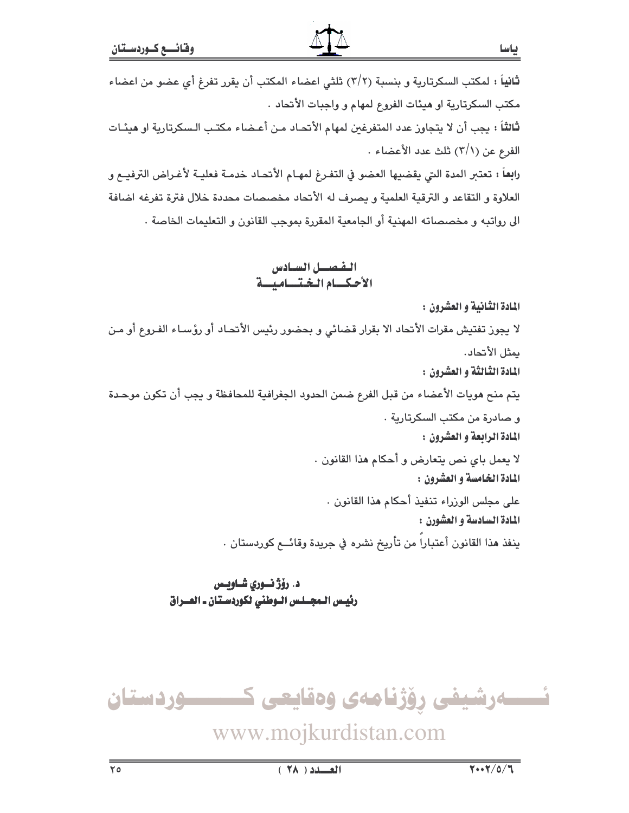.<br>**ثانياً** : لمكتب السكرتارية و بنسبة (٢/٢) ثلثي اعضاء المكتب أن يقرر تفرغ أي عضو من اعضاء مكتب السكرتارية او هيئات الفروع لمهام و واجبات الأتحاد . ثالثاً : يجب أن لا يتجاوز عدد المتفرغين لمهام الأتحـاد مـن أعـضاء مكتـب الـسكرتارية او هيئـات الفرع عن (٦/١) ثلث عدد الأعضاء . رابِعاً : تعتبر المدة التي يقضيها العضو في التفـرغ لمهـام الأتحـاد خدمـة فعليـة لأغـراض الترفيــع و

العلاوة و التقاعد و الترقية العلمية و يصرف له الأتحاد مخصصات محددة خلال فترة تفرغه اضافة الى رواتبه و مخصصاته المهنية أو الجامعية المقررة بموجب القانون و التعليمات الخاصة .

> الفصيل السيادس الأحكيام الختساميسة

المادة الثانية و العشرون : لا يجوز تفتيش مقرات الأتحاد الا بقرار قضائي و بحضور رئيس الأتحـاد أو رؤسـاء الفـروع أو مـن يمثل الأتحاد. المادة الثالثة و العشرون : يتم منح هويات الأعضاء من قبل الفرع ضمن الحدود الجغرافية للمحافظة و يجب أن تكون موحدة و صادرة من مكتب السكرتارية . المادة الرابعة و العشرون : لا يعمل باي نص يتعارض و أحكام هذا القانون . المادة الخامسة و العشرون : على مجلس الوزراء تنفيذ أحكام هذا القانون . المادة السادسة و العشورن : ينفذ هذا القانون أعتباراً من تأريخ نشره في جريدة وقائــع كوردستان .

> د. رۆژ ئــوري شــاويــس رئيس المجلس الوطني لكوردستان ـ العـراق